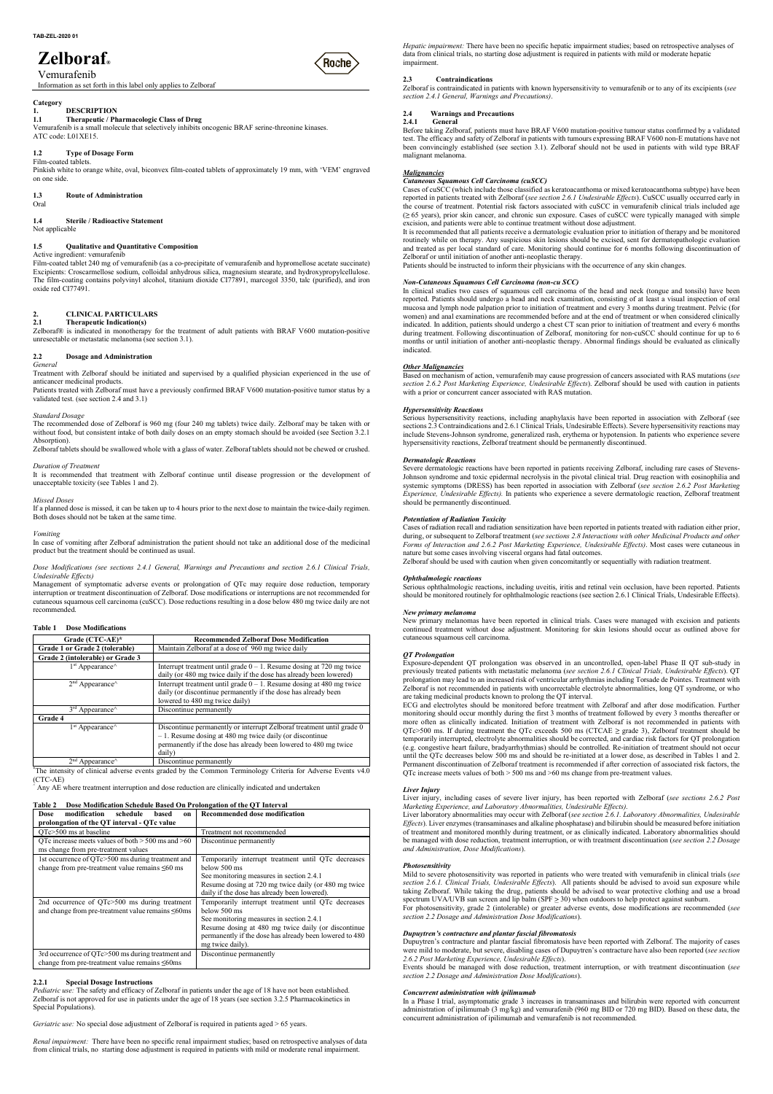# Zelboraf® (Roche

### Vemurafenib

Information as set forth in this label only applies to Zelboraf

## Category<br>1. DESCRIPTION

## ATC code: L01XE15.

TAB-ZEL-2020 01<br> **Zelboraf**<br>
Vemurafenib<br>
Information as set forth in this label only applies to Zelboraf<br>
Category<br>
1.1 DESCRIPTION<br>
1.1 Therapeutic / Pharmacologic Class of Drug<br>
Vemurafenib is a small molecule that sel **7.48-2EL-2020 01**<br> **7.48-2EL-2020 01**<br> **1.49.1 Thermacion as set forth in this label only applies to Zelboraf<br>
1.1 DESCRIPTION<br>
1.1 Therapeutic / Pharmacologic Class of Drug<br>
1.1 Therapeutic / Pharmacologic Class of Drug TAB-ZEL-2020 01**<br>
Vegratic impairment: There have been no specifie the<br>
data from chinara terms of the contrast of the contrast of the contrast of the contrast of the contrast of the contrast of the contrast of the contra TAB-ZEL-2020 01<br> **Zelboraf**<br>
Vemurafenib<br>
Vemurafenib<br>
Information as set forth in this label only applies to Zelboraf<br>
1.<br>
1.1 DESCRIPTION<br>
1.1 Therapeutic / Pharmacologic Class of Drug<br>
1.1 DESCRIPTION<br>
1.1 Therapeutic / Film-coated tablets. Pinkish white to orange white, oval, biconvex film-coated tablets of approximately 19 mm, with 'VEM' engraved on one side. **148-2EL-2020 01**<br> **Zelbora f**<br> **Vermuraterinity**<br> **Category**<br> **Category**<br> **Category**<br> **L1**<br> **L1**<br> **L1**<br> **L1**<br> **UNITED DESCRIPTION**<br> **L1**<br> **UNITED DESCRIPTION**<br> **UNITED DESCRIPTION**<br> **UNITED DESCRIPTION**<br> **UNITED DESCRIPT** 

Oral

Not applicable

Zelboraf® is indicated in monotherapy for the treatment of adult patients with BRAF V600 mutation-positive during treatment. Following discontinuation of Zelboraf, monitoring for non-cuSCC should continue for up to 6 unresectable or metastatic melanoma (see section 3.1).

### Active ingredient: vemurafenib

**1.4 Sterile / Radioactive Statement**<br>
1.4 Stephend of the statement of the statement of the statement of the statement of the statement of the statement<br>
1.1 DESCRIPTION<br>
1.1 DESCRIPTION<br>
1.1 Therapeutic / Pharmacologic **1.4 Zellboraf**<br> **V** Centurationi<br>
Vernutation in this label only applies to Zelborat<br>
1.1 DESCRIPTION<br>
1.1 DESCRIPTION<br>
1.1 DESCRIPTION<br>
1.1 DESCRIPTION<br>
1.3 There are pushed (*Pharmacologic Class of Drug*<br>
NT crosses.<br> Film-coated tablet 240 mg of vemurafenib (as a co-precipitate of vemurafenib and hypromellose acetate succinate) Excipients: Croscarmellose sodium, colloidal anhydrous silica, magnesium stearate, and hydroxypropylcellulose. The film-coating contains polyvinyl alcohol, titanium dioxide CI77891, marcogol 3350, talc (purified), and iron oxide red CI77491. VeffILICATILI<br>
The Context of Category<br>
Information as set forth in this label only applies to Zelboraf<br>
1.1 DESCRIPTION<br>
1.1 DESCRIPTION<br>
1.1 Therapeutic / Pharmacologic Class of Drug<br>
1.1 The metallicular of the samellan Information as set forth in this label only applies to Zelboraf<br>
1.1 DESCRIPTION<br>
1.1 DESCRIPTION<br>
1.1 Therapeutic / Pharmacologic Class of Drug<br>
1.1 Therapeutic / Pharmacologic Class of Drug<br>
2.1 Contraction is a small mo 1.1 Therapeutic / Pharmacologic Class of Drug<br>
Ucmuralenib is a small molecule that selectively inhibits oncogenic BRAF serime-threonine kinases.<br>ATC code: L01XE15.<br>
1.2 Type of Dosage Form<br>
Film-cooted tables.<br>
Film-coot ATC code: 101XF15<br>
Treatment with zero exact proposition of the effective value of the effective of and the effective of the effective of the exact should be interested and the supervised by a main tensorial controlled be Film-coated tablets.<br>
Finish white to orange white, oval, biconvex film-coated tablets of approximately 19 mm, with 'VEM' engraved<br>
on one side.<br>
1.4 **Sterile / Radioactive Statement**<br>
Not applicable<br>
1.4 **Sterile / Radioa** 2.4 Secret / Radioactive Statement<br>
2.4 Secret in the secondary of the system of the system of the system of the system of the system of the system of the system of the system of the system of the system of the system of t It is recommended to the mean of the solution of the continue or the continue or the continue of the continue in the continue of the continue or the continue or the continue or the continue or the continue or the developme

### General

anticancer medicinal products.

Standard Dosage<br>The recommended dose of Zelboraf is 960 mg (four 240 mg tablets) twice daily. Zelboraf may be taken with or The recommended dose of Zelboraf is 960 mg (four 240 mg tablets) twice daily. Zelboraf may be taken with or<br>without food, but consistent intake of both daily doses on an empty stomach should be avoided (see Section 3.2.1 i Excelerate the tack commentions solidary and the same in the same in the next dose in the next dose in the can be taken up to  $\lambda$  and the next dose in the case of the next dose in the case of the next dose in the case of 2.<br>
2. CLINICAI. PARTICULARS<br>
2. CLENICAI. PARTICULARS<br>
2. CLENICAI International inficial conditions the section 3.1).<br>
2. Clear And international in the patient inficial conditions that is a medicinal conditioned in the

unresectable or metastatic melanoma (see section 3.1).<br>
2.2<br>
2.7 Corneral<br>
Treatment with Zelloral should be initiated and supervised by a qualified physician experienced in the use of<br>
Treatment with Zelloral should be i Management of symptomatic adverse events or prolongation of QTc may require dose reduction, temporary 27. **IDENTIFY ALTERT CONTROLL**<br>
Townworth Zelbora (Townworth Zelbora Townworth 2002)<br>
Townworth Consideration or tractation or tractation or tractation of Consideration or the Consideration of Consideration<br>
The recommend Interruption or treatment discontinuation of Zelboraf. Dose modifications or interruptions are not recommended for<br>cutaneous squamous cell carcinoma (cuSCC). Dose reductions resulting in a dose below 480 mg twice daily are recommended.

### Vomiting

Dose Modifications (see sections 2.4.1 General, Warnings and Precautions and section 2.6.1 Clinical Trials,<br>Undesirable Effects) Contribution treatment.<br> **Ontthalmologic reactions** 

Hepatic impairment: There have been no specific hepatic impairment studies; based on retrospective analyses of *Hepatic impairment:* There have been no specific hepatic impairment studies; based on retrospective analyses of data from clinical trials, no starting dose adjustment is required in patients with mild or moderate hepatic impairment. **Hepatic impairment:** There have been no specific hepatic impairment studies; based on retrospective analyses of data from clinical trials, no starting dose adjustment is required in patients with mild or moderate hepatic

Zelboraf is contraindicated in patients with known hypersensitivity to vemurafenib or to any of its excipients (see<br>section 2.4.1 General, Warnings and Precautions).

**Example 1.1.1**<br> *Hepatic impairment:* There have been no specific hepatic impairment studies; based on retrospective analyses o<br> **Castion 2.4.1** Contraindications<br> **CALICATE CONTANDICATE CONTANDICATE CONTANDICATE CONTANDI** *Hepatic impairment:* There have been no specific hepatic impairment studies; based on retrospective analyses of data from clinical trials, no starting dose adjustment is required in patients with mild or moderate hepatic *Hepatic impairment:* There have been no specific hepatic impairment studies; based on retrospective analyses of data from clinical trials, no starting dose adjustment is required in patients with mild or moderate hepatic *Hepatic impairment:* There have been no specific hepatic impairment studies; based on retrospective analyses of impairment.<br> **2.3 Contraindications**<br> **2.3 Contraindications**<br> **2.43 Contraindications**<br> **2.45 Contraindi** *Hepatic impairment:* There have been no specific hepatic impairment studies; based on retrospective analyses of data from clinical trials, no starting dose adjustment is required in patients with mild or moderate hepatic malignant melanoma.

### **Malignancies**

Cutaneous Squamous Cell Carcinoma (cuSCC)<br>Cases of cuSCC (which include those classified as keratoacanthoma or mixed keratoacanthoma subtype) have been *Hepatic impairment:* There have been no specific hepatic impairment studies; based on retrospective analyses of data from clinical trials, no starting dose adjustment is required in patients with mild or moderate hepatic<br> *Hepatic impairment:* There have been no specific hepatic impairment studies; based on retrospective analyses of<br>diaprimenti.<br>
Impairmenti.<br>
2.1 Contraindications<br>
2.4 Contraindications<br>
2.4 Contraindications<br>
2.4 Contrain the course of treatment. Potential risk factors associated with cuSCC in vemurafenib clinical trials included age  $(≥ 65$  years), prior skin cancer, and chronic sun exposure. Cases of cuSCC were typically managed with sim Hepatic impairment: There have been no specific hepatic impairment studies; based on retrospective analyses of<br>data from clinical trials, no starting dose adjustment is required in patients with mild or moderate hepatic<br> excision, and patients were able to continue treatment without dose adjustment.<br>It is recommended that all patients receive a dermatologic evaluation prior to initiation of therapy and be monitored *If epartic impairment:* There have been no specific hepatic impairment studies; based on etrospective analyses of<br>
data from cinical trials, no starting dose adjustment is required in patients with mild or moderate hepat Hepatic impairment: There have been no specific hepatic impairment studies; based on retrospective analyses<br>
dimariment.<br>
dimariment.<br>
2.3<br>
Contraindications<br>
2.3<br>
Contraindications<br>
2.3<br>
Contraindications<br>
2.3<br>
Contraind

routinely while on therapy. Any suspicious skin lesions should be excised, sent for dermatopathologic evaluation and treated as per local standard of care. Monitoring should continue for 6 months following discontinuation of Patients should be instructed to inform their physicians with the occurrence of any skin changes.<br>Patients should be instructed to inform their physicians with the occurrence of any skin changes.

| validated test. (see section 2.4 and 3.1)                                                                 |                         | Patients treated with Zelboraf must have a previously confirmed BRAF V600 mutation-positive tumor status by a                                                                                                                                                                                                                                                                                                                                                 | with a prior or concurrent cancer associated with RAS mutation.                                                                                                                                                                                                                                                                                                                                                        |
|-----------------------------------------------------------------------------------------------------------|-------------------------|---------------------------------------------------------------------------------------------------------------------------------------------------------------------------------------------------------------------------------------------------------------------------------------------------------------------------------------------------------------------------------------------------------------------------------------------------------------|------------------------------------------------------------------------------------------------------------------------------------------------------------------------------------------------------------------------------------------------------------------------------------------------------------------------------------------------------------------------------------------------------------------------|
| <b>Standard Dosage</b><br>Absorption).                                                                    |                         | The recommended dose of Zelboraf is 960 mg (four 240 mg tablets) twice daily. Zelboraf may be taken with or<br>without food, but consistent intake of both daily doses on an empty stomach should be avoided (see Section 3.2.1<br>Zelboraf tablets should be swallowed whole with a glass of water. Zelboraf tablets should not be chewed or crushed.                                                                                                        | <b>Hypersensitivity Reactions</b><br>Serious hypersensitivity reactions, including anaphylaxis have been reported<br>sections 2.3 Contraindications and 2.6.1 Clinical Trials, Undesirable Effects). Se<br>include Stevens-Johnson syndrome, generalized rash, erythema or hypotension.<br>hypersensitivity reactions, Zelboraf treatment should be permanently discontinu                                             |
| Duration of Treatment<br>unacceptable toxicity (see Tables 1 and 2).                                      |                         | It is recommended that treatment with Zelboraf continue until disease progression or the development of                                                                                                                                                                                                                                                                                                                                                       | <b>Dermatologic Reactions</b><br>Severe dermatologic reactions have been reported in patients receiving Zelbora<br>Johnson syndrome and toxic epidermal necrolysis in the pivotal clinical trial. I<br>systemic symptoms (DRESS) has been reported in association with Zelboraf<br>Experience, Undesirable Effects). In patients who experience a severe dermate                                                       |
| Missed Doses<br>Both doses should not be taken at the same time.                                          |                         | If a planned dose is missed, it can be taken up to 4 hours prior to the next dose to maintain the twice-daily regimen.                                                                                                                                                                                                                                                                                                                                        | should be permanently discontinued.<br><b>Potentiation of Radiation Toxicity</b>                                                                                                                                                                                                                                                                                                                                       |
| Vomiting<br>product but the treatment should be continued as usual.                                       |                         | In case of vomiting after Zelboraf administration the patient should not take an additional dose of the medicinal                                                                                                                                                                                                                                                                                                                                             | Cases of radiation recall and radiation sensitization have been reported in patient<br>during, or subsequent to Zelboraf treatment (see sections 2.8 Interactions with a<br>Forms of Interaction and 2.6.2 Post Marketing Experience, Undesirable Effect<br>nature but some cases involving visceral organs had fatal outcomes.                                                                                        |
| Undesirable Effects)                                                                                      |                         | Dose Modifications (see sections 2.4.1 General, Warnings and Precautions and section 2.6.1 Clinical Trials,<br>Management of symptomatic adverse events or prolongation of QTc may require dose reduction, temporary<br>interruption or treatment discontinuation of Zelboraf. Dose modifications or interruptions are not recommended for<br>cutaneous squamous cell carcinoma (cuSCC). Dose reductions resulting in a dose below 480 mg twice daily are not | Zelboraf should be used with caution when given concomitantly or sequentially<br><b>Ophthalmologic reactions</b><br>Serious ophthalmologic reactions, including uveitis, iritis and retinal vein occl<br>should be monitored routinely for ophthalmologic reactions (see section 2.6.1 C                                                                                                                               |
| recommended.<br><b>Table 1 Dose Modifications</b>                                                         |                         |                                                                                                                                                                                                                                                                                                                                                                                                                                                               | New primary melanoma<br>New primary melanomas have been reported in clinical trials. Cases were m<br>continued treatment without dose adjustment. Monitoring for skin lesions sl                                                                                                                                                                                                                                       |
| Grade (CTC-AE)*                                                                                           |                         | <b>Recommended Zelboraf Dose Modification</b>                                                                                                                                                                                                                                                                                                                                                                                                                 | cutaneous squamous cell carcinoma.                                                                                                                                                                                                                                                                                                                                                                                     |
| Grade 1 or Grade 2 (tolerable)                                                                            |                         | Maintain Zelboraf at a dose of 960 mg twice daily                                                                                                                                                                                                                                                                                                                                                                                                             |                                                                                                                                                                                                                                                                                                                                                                                                                        |
| Grade 2 (intolerable) or Grade 3                                                                          |                         |                                                                                                                                                                                                                                                                                                                                                                                                                                                               | <b>OT</b> Prolongation                                                                                                                                                                                                                                                                                                                                                                                                 |
| 1 <sup>st</sup> Appearance <sup><math>\wedge</math></sup>                                                 |                         | Interrupt treatment until grade $0 - 1$ . Resume dosing at 720 mg twice<br>daily (or 480 mg twice daily if the dose has already been lowered)                                                                                                                                                                                                                                                                                                                 | Exposure-dependent QT prolongation was observed in an uncontrolled, ope<br>previously treated patients with metastatic melanoma (see section 2.6.1 Clinica<br>prolongation may lead to an increased risk of ventricular arrhythmias including                                                                                                                                                                          |
| $2nd$ Appearance <sup><math>\wedge</math></sup>                                                           |                         | Interrupt treatment until grade $0 - 1$ . Resume dosing at 480 mg twice<br>daily (or discontinue permanently if the dose has already been<br>lowered to 480 mg twice daily)                                                                                                                                                                                                                                                                                   | Zelboraf is not recommended in patients with uncorrectable electrolyte abnorm<br>are taking medicinal products known to prolong the QT interval.                                                                                                                                                                                                                                                                       |
| 3 <sup>rd</sup> Appearance <sup><math>\wedge</math></sup>                                                 | Discontinue permanently |                                                                                                                                                                                                                                                                                                                                                                                                                                                               | ECG and electrolytes should be monitored before treatment with Zelboraf an<br>monitoring should occur monthly during the first 3 months of treatment follow                                                                                                                                                                                                                                                            |
| Grade 4<br>1 <sup>st</sup> Appearance <sup><math>\wedge</math></sup>                                      | daily)                  | Discontinue permanently or interrupt Zelboraf treatment until grade 0<br>$-1$ . Resume dosing at 480 mg twice daily (or discontinue<br>permanently if the dose has already been lowered to 480 mg twice                                                                                                                                                                                                                                                       | more often as clinically indicated. Initiation of treatment with Zelboraf is r<br>QTc>500 ms. If during treatment the QTc exceeds 500 ms (CTCAE $\ge$ grade<br>temporarily interrupted, electrolyte abnormalities should be corrected, and cardi<br>(e.g. congestive heart failure, bradyarrhythmias) should be controlled. Re-initia<br>until the QTc decreases below 500 ms and should be re-initiated at a lower do |
| $2nd$ Appearance <sup><math>\land</math></sup>                                                            | Discontinue permanently |                                                                                                                                                                                                                                                                                                                                                                                                                                                               | Permanent discontinuation of Zelboraf treatment is recommended if after corre                                                                                                                                                                                                                                                                                                                                          |
| (CTC-AE)                                                                                                  |                         | The intensity of clinical adverse events graded by the Common Terminology Criteria for Adverse Events $v4.0$<br>Any AE where treatment interruption and dose reduction are clinically indicated and undertaken                                                                                                                                                                                                                                                | QTc increase meets values of both $> 500$ ms and $> 60$ ms change from pre-treature<br>Liver Injury                                                                                                                                                                                                                                                                                                                    |
| Fable 2                                                                                                   |                         | Dose Modification Schedule Based On Prolongation of the QT Interval                                                                                                                                                                                                                                                                                                                                                                                           | Liver injury, including cases of severe liver injury, has been reported with<br>Marketing Experience, and Laboratory Abnormalities, Undesirable Effects).                                                                                                                                                                                                                                                              |
| <b>Dose</b><br>modification<br>schedule                                                                   | based<br>on             | <b>Recommended dose modification</b>                                                                                                                                                                                                                                                                                                                                                                                                                          | Liver laboratory abnormalities may occur with Zelboraf (see section 2.6.1. Labor                                                                                                                                                                                                                                                                                                                                       |
| prolongation of the QT interval - QTc value                                                               |                         |                                                                                                                                                                                                                                                                                                                                                                                                                                                               | Effects). Liver enzymes (transaminases and alkaline phosphatase) and bilirubin s                                                                                                                                                                                                                                                                                                                                       |
| QTc>500 ms at baseline                                                                                    |                         | Treatment not recommended                                                                                                                                                                                                                                                                                                                                                                                                                                     | of treatment and monitored monthly during treatment, or as clinically indicated                                                                                                                                                                                                                                                                                                                                        |
| OTc increase meets values of both $> 500$ ms and $> 60$<br>ms change from pre-treatment values            |                         | Discontinue permanently                                                                                                                                                                                                                                                                                                                                                                                                                                       | be managed with dose reduction, treatment interruption, or with treatment disco<br>and Administration, Dose Modifications).                                                                                                                                                                                                                                                                                            |
| 1st occurrence of QTc>500 ms during treatment and<br>change from pre-treatment value remains $\leq 60$ ms |                         | Temporarily interrupt treatment until QTc decreases<br>below 500 ms                                                                                                                                                                                                                                                                                                                                                                                           | Photosensitivity                                                                                                                                                                                                                                                                                                                                                                                                       |
|                                                                                                           |                         | See monitoring measures in section 2.4.1<br>Resume dosing at 720 mg twice daily (or 480 mg twice<br>daily if the dose has already been lowered).                                                                                                                                                                                                                                                                                                              | Mild to severe photosensitivity was reported in patients who were treated with<br>section 2.6.1. Clinical Trials, Undesirable Effects). All patients should be ad<br>taking Zelboraf. While taking the drug, patients should be advised to wear p                                                                                                                                                                      |
| 2nd occurrence of QTc>500 ms during treatment                                                             |                         | Temporarily interrupt treatment until OTc decreases                                                                                                                                                                                                                                                                                                                                                                                                           | spectrum UVA/UVB sun screen and lip balm (SPF $\geq$ 30) when outdoors to help                                                                                                                                                                                                                                                                                                                                         |
| and change from pre-treatment value remains $\leq 60$ ms                                                  |                         | below 500 ms<br>$\alpha$ monitoring measures in section $2.4.1$                                                                                                                                                                                                                                                                                                                                                                                               | For photosensitivity, grade 2 (intolerable) or greater adverse events, dose mo<br>section 2.2 Dosage and Administration Dose Modifications).                                                                                                                                                                                                                                                                           |

| 1 avit 4 |                                             |       |  | <b>DUSC MOUNTCANDE SCHEUDE DASEU ON FTUDINGANDE OF THE OT THEFT VAL</b> |
|----------|---------------------------------------------|-------|--|-------------------------------------------------------------------------|
| 1 Dose   | modification schedule                       | based |  | on Recommended dose modification                                        |
|          | prolongation of the OT interval - OTc value |       |  |                                                                         |

Hypersensitivity Reactions<br>Serious hypersensitivity reactions, including anaphylaxis have been reported in association with Zelboraf (see include Stevens-Johnson syndrome, generalized rash, erythema or hypotension. In patients who experience severe

**Dermatologic Reactions**<br>Severe dermatologic reactions have been reported in patients receiving Zelboraf, including rare cases of Stevensshould be permanently discontinued. indicated. In addition, paisers should undergo a clest CT scan prior to initiation of tractment and every 6 months<br>to minimal tentant. Following discontinuation of Zelboraf, monitoring for non-cuSCC should continue for up **Other Malignancies**<br>
Place Marksmo of cartion, vernurafconb may cause progression of cancers associated with RAS mutations (see<br>
Besociation mechanism of sections Effects). Zelboraf should be used with eaution in patients

|                                                                                                           | daily)                  | permanently if the dose has already been lowered to 480 mg twice                                                                                                                                                                     | (e.g. congestive heart failure, bradyarrhythmias) should be controlled. Re-initiation of treatment<br>until the QTc decreases below 500 ms and should be re-initiated at a lower dose, as described in                                                                                                                                                                                   |
|-----------------------------------------------------------------------------------------------------------|-------------------------|--------------------------------------------------------------------------------------------------------------------------------------------------------------------------------------------------------------------------------------|------------------------------------------------------------------------------------------------------------------------------------------------------------------------------------------------------------------------------------------------------------------------------------------------------------------------------------------------------------------------------------------|
| $2nd$ Appearance <sup><math>\land</math></sup>                                                            | Discontinue permanently |                                                                                                                                                                                                                                      | Permanent discontinuation of Zelboraf treatment is recommended if after correction of associated                                                                                                                                                                                                                                                                                         |
| $(CTC-AE)$                                                                                                |                         | The intensity of clinical adverse events graded by the Common Terminology Criteria for Adverse Events v4.0                                                                                                                           | QTc increase meets values of both $> 500$ ms and $> 60$ ms change from pre-treatment values.                                                                                                                                                                                                                                                                                             |
|                                                                                                           |                         | Any AE where treatment interruption and dose reduction are clinically indicated and undertaken                                                                                                                                       | <b>Liver Injury</b>                                                                                                                                                                                                                                                                                                                                                                      |
| <b>Table 2</b>                                                                                            |                         | Dose Modification Schedule Based On Prolongation of the QT Interval                                                                                                                                                                  | Liver injury, including cases of severe liver injury, has been reported with Zelboraf (see see<br>Marketing Experience, and Laboratory Abnormalities, Undesirable Effects).                                                                                                                                                                                                              |
| modification<br>schedule<br>Dose<br>prolongation of the QT interval - QTc value                           | based<br>on             | <b>Recommended dose modification</b>                                                                                                                                                                                                 | Liver laboratory abnormalities may occur with Zelboraf (see section 2.6.1. Laboratory Abnormali<br><i>Effects</i> ). Liver enzymes (transaminases and alkaline phosphatase) and bilirubin should be measured                                                                                                                                                                             |
| QTc>500 ms at baseline                                                                                    |                         | Treatment not recommended                                                                                                                                                                                                            | of treatment and monitored monthly during treatment, or as clinically indicated. Laboratory abne                                                                                                                                                                                                                                                                                         |
| QTc increase meets values of both $> 500$ ms and $> 60$<br>ms change from pre-treatment values            |                         | Discontinue permanently                                                                                                                                                                                                              | be managed with dose reduction, treatment interruption, or with treatment discontinuation (see se<br>and Administration, Dose Modifications).                                                                                                                                                                                                                                            |
| 1st occurrence of QTc>500 ms during treatment and<br>change from pre-treatment value remains $\leq 60$ ms |                         | Temporarily interrupt treatment until QTc decreases<br>below 500 ms<br>See monitoring measures in section 2.4.1<br>Resume dosing at 720 mg twice daily (or 480 mg twice<br>daily if the dose has already been lowered).              | Photosensitivity<br>Mild to severe photosensitivity was reported in patients who were treated with vemurafenib in c<br>section 2.6.1. Clinical Trials, Undesirable Effects). All patients should be advised to avoid sur<br>taking Zelboraf. While taking the drug, patients should be advised to wear protective clothing                                                               |
| 2nd occurrence of QTc>500 ms during treatment<br>and change from pre-treatment value remains $\leq 60$ ms |                         | Temporarily interrupt treatment until QTc decreases<br>below 500 ms<br>See monitoring measures in section 2.4.1<br>Resume dosing at 480 mg twice daily (or discontinue)                                                              | spectrum UVA/UVB sun screen and lip balm (SPF $\geq$ 30) when outdoors to help protect against su<br>For photosensitivity, grade 2 (intolerable) or greater adverse events, dose modifications are re-<br>section 2.2 Dosage and Administration Dose Modifications).<br>Dupuytren's contracture and plantar fascial fibromatosis                                                         |
|                                                                                                           |                         | permanently if the dose has already been lowered to 480<br>mg twice daily).                                                                                                                                                          | Dupuytren's contracture and plantar fascial fibromatosis have been reported with Zelboraf. The<br>were mild to moderate, but severe, disabling cases of Dupuytren's contracture have also been repo                                                                                                                                                                                      |
| 3rd occurrence of QTc>500 ms during treatment and<br>change from pre-treatment value remains ≤60ms        |                         | Discontinue permanently                                                                                                                                                                                                              | 2.6.2 Post Marketing Experience, Undesirable Effects).<br>Events should be managed with dose reduction, treatment interruption, or with treatment disc                                                                                                                                                                                                                                   |
| 2.2.1<br><b>Special Dosage Instructions</b><br>Special Populations).                                      |                         | Pediatric use: The safety and efficacy of Zelboraf in patients under the age of 18 have not been established.<br>Zelboraf is not approved for use in patients under the age of 18 years (see section 3.2.5 Pharmacokinetics in       | section 2.2 Dosage and Administration Dose Modifications).<br>Concurrent administration with ipilimumab<br>In a Phase I trial, asymptomatic grade 3 increases in transaminases and bilirubin were reported<br>administration of ipilimumab (3 mg/kg) and vemurafenib (960 mg BID or 720 mg BID). Based of<br>concurrent administration of ipilimumab and vemurafenib is not recommended. |
| Geriatric use: No special dose adjustment of Zelboraf is required in patients aged > 65 years.            |                         |                                                                                                                                                                                                                                      |                                                                                                                                                                                                                                                                                                                                                                                          |
|                                                                                                           |                         | Renal impairment: There have been no specific renal impairment studies; based on retrospective analyses of data<br>from clinical trials, no starting dose adjustment is required in patients with mild or moderate renal impairment. |                                                                                                                                                                                                                                                                                                                                                                                          |
|                                                                                                           |                         |                                                                                                                                                                                                                                      |                                                                                                                                                                                                                                                                                                                                                                                          |
|                                                                                                           |                         |                                                                                                                                                                                                                                      |                                                                                                                                                                                                                                                                                                                                                                                          |

metric daily (or 480 mg twice daily if the dose has already been lowered) previously treated patients with metastatic melanoma (see section 2.6.1 Clinical Trials, Undesirable Effects). QT daily (or discontinue permanently if the dose has already been<br>are taking medicinal products known to prolong the QT interval. Exposure-dependent QT prolongation was observed in an uncontrolled, open-label Phase II QT sub-study in prolongation may lead to an increased risk of ventricular arrhythmias including Torsade de Pointes. Treatment with

(e.g. congestive heart failure, bradyarrhythmias) should be controlled. Re-initiation of treatment should not occur **Dermatologic Reactions**<br>Severe dermatologic reactions have been reported in patients recoving Zelboraf, including rare cases of Stevers-<br>Schoons syndroms and toxic epidermal neerolytis in the pivotal climal trial. Drug r Secret dermanologie reaction have been reported in patients receiving Zelboraf; including ratios associates show the monitor of the monitor supersystemic systemic systemic systemic systemic systemic systemic systemic syst monitoring should occur monthly during the first 3 months of treatment followed by every 3 months thereafter or<br>more often as clinically indicated. Initiation of treatment with Zelboraf is not recommended in patients with systemic symponions (DRESS) has been reported in a secondero with Zelboraf (see secciton) 2.0.2 PM Morketing<br>Experience, Uniderially discontinued.<br>
Experience, Uniderially discontinued.<br>
Experience, Uniderially it actually Experience, Undersite Effects). In patients who experience a severe dermatologic reaction, Zelboraf treatment<br>
Botenfindin of Radiation reactions and distinues are acceleated in patients stead with radiation since properti temporarily interrupted, electrolyte abnormalities should be corrected, and cardiac risk factors for QT prolongation **Potentiation of Raditation Toxicity**<br>Cases of radiation recall and altation sensitization have been reported in patients stark of<br>the Mariamon results and the matter of the starketing Experience. Undetermined the Medicin until the QTc decreases below 500 ms and should be re-initiated at a lower dose, as described in Tables 1 and 2.<br>Permanent discontinuation of Zelboraf treatment is recommended if after correction of associated risk factors Case of radiation recall and that interestination have been reported in pairs treated with redained interesting<br>Case of radiation recention and 2.62. Pass Marketing, Experience, Undefinite Bluetostane defined interesting QTc increase meets values of both > 500 ms and >60 ms change from pre-treatment values. Zelboraf should be used with caution when given concontinantly or sequentially with radiation treatment.<br>Optimalmologic reactions, including uveitis, iritis and retiral vin occlusion, have been reported. Patients should b **Ophidumologic reactions**, including useritis, tritis and retinal vein ceclusion, have been reported. Patients<br>should be monitored rotoinely for ophthalmologic reactions (see section 2.6.1 Clinical Trials, Undesirable Eff Serious ophthalmologic reactions, including useritis, ritis and retinal vein ceclusion, have been reported in chinal statistics). New primary melanoms have been reported in clinical trials. Cases were managed with excisio culaneous sequmous eell curvinoma.<br> **Of Prolongation** was observed in an uncontrolled, open-label Phase II (Of sub-strably in  $\Omega$  Treates and patients which means that the section 2.6. Climical Trials, Understable Bigge **QT Prolongation**<br> **QT** Prolongation (T] prolongation was observed in an uncontrolled, open-label Trials, Undestrable Effects). OT<br>
Exposure-dependent interacted risk of ventireal arising the sindicity. Textirement with<br> **OT** *Probagation* was observed in an uncontrolled, open-label Plaase II QT sub-study in<br>
OTProbangit treated patients with meatsatic melanoma (see section 2.6. Clinical Triats, Understable Effects), OT<br>
probangiton my le ECO and electrolytes should be monitored before treatment with Zelboraf and after dosem monitoring is not the controlled in points of the more of the state of the case of monitoring in the state of the case of monitoring

were mild to moderate, but severe, disabling cases of Dupuytren's contracture have also been reported (see section 2.6.2 Post Marketing Experience, Undesirable Effects).

### Non-Cutaneous Squamous Cell Carcinoma (non-cu SCC)

13<br>
The recommended that include the recommended that include the recommended dose of  $\sim$  10.000 mg tablets) the recommended dose of  $\sim$  2000 mg tablets) the recommended that is a consenent of the recommended that is a In clinical studies two cases of squamous cell carcinoma of the head and neck (tongue and tonsils) have been reported. Patients should undergo a head and neck examination, consisting of at least a visual inspection of oral mucosa and lymph node palpation prior to initiation of treatment and every 3 months during treatment. Pelvic (for women) and anal examinations are recommended before and at the end of treatment or when considered clinically indicated. In addition, patients should undergo a chest CT scan prior to initiation of treatment and every 6 months section 2.4.1 General, Warnings and Precentions).<br>
2.4 Varnings and Precentions<br>
Hoffore laking Zelbora f patients most have BRAF V600 mutation-positive tumours status confirmed by a validated<br>
Before laking Zelbora f pati months or until initiation of another anti-neoplastic therapy. Abnormal findings should be evaluated as clinically indicated. ts. The effective and shery of Zelbora in patients with tunnous expression generates and the used in patients with violing the BRAF malignant melanoma.<br> **And the control of action and case of cancers associated** the seed i been convincingly established (see section 3.1). Zelboraf should not be used in patients with wild type BRAF<br>
Cauterous: Square of the Carcinoma (cuSCC)<br>
Cause of cusSCC (which include those classified as keratoacanthorm **Culturineous Squarinos Cell Carcitomia (cusCC)**<br>Cuses of cusCC (which include those classified as keratoacambonna or mixed keratoacambonna subtype) have been<br>reported in patients treated with Zelbora (see section 2.6.1 U Cases of existCC (which include these classified as krotoscanthona or nixed keratomea subtype) have been<br>decorated in patients reaction in Zelation and Contrainer and Contrainer and Contrainer and the control or the sectio the course of treatment Potential risk factors associated with exsect in venurationly elimical trials included age<br>the source of technical randomic survey class of custom content without does algustment.<br>This increase wer It is recommended that all patients receive a dermatologic evaluation prior to initiation of the<br>expansion of the patient and tend and tend to excell stand for the dermaton<br>and tend as per local standard of car. Monitoring routinely white on therapy. Any septiconis also also should be excised, east for dermatiopulologic evaluation of Zelboraf or unit initialison of Zelboraf or unit initial on formulation of Zelboraf or unit initial on formul and terated as per local standard of care. Monitoring should continue for 6 months following discontinuation of<br>Zelboraf or until imitation of anoher anti-acephatic thempy.<br>
Zelboraf or the instructed to inform their physi Zelboraf or unit initiation of another units-nepolasite thempy.<br>
Zeleboraf or units in the sole of the state of the state increase of severe a severe dermined to the control of the control of the control of the patient of reported. Traices should undergo a head and neck examination, consisting of a least a visual inspection. Or call<br>sumposes and lymph node palpation prior to initiation of treatment and every 3 months during tratment. Pelvic

anticancer medicinal products.<br>
Patients treated with Zelboraf must have a previously confirmed BRAF V600 mutation-positive tumor status by a<br>
Patients treated with RAS mutation.<br>
With a prior or concurrent cancer associat **Other Malignancies**<br>Based on mechanism of action, vemurafenib may cause progression of cancers associated with RAS mutations (see with a prior or concurrent cancer associated with RAS mutation.

### Potentiation of Radiation Toxicity

Cases of radiation recall and radiation sensitization have been reported in patients treated with radiation either prior, Forms of Interaction and 2.6.2 Post Marketing Experience, Undesirable Effects). Most cases were cutaneous in nature but some cases involving visceral organs had fatal outcomes.

### Ophthalmologic reactions

Serious ophthalmologic reactions, including uveitis, iritis and retinal vein occlusion, have been reported. Patients

### New primary melanoma

New primary melanomas have been reported in clinical trials. Cases were managed with excision and patients continued treatment without dose adjustment. Monitoring for skin lesions should occur as outlined above for

### QT Prolongation

### Liver Injury

Marketing Experience, and Laboratory Abnormalities, Undesirable Effects).<br>Liver laboratory abnormalities may occur with Zelboraf (see section 2.6.1. Laboratory Abnormalities, Undesirable



of treatment and monitored monthly during treatment, or as clinically indicated. Laboratory abnormalities should be managed with dose reduction, treatment interruption, or with treatment discontinuation (see section 2.2 Dosage and Administration, Dose Modifications).

### Photosensitivity

Mild to severe photosensitivity was reported in patients who were treated with vemurafenib in clinical trials (see section 2.6.1. Clinical Trials, Undesirable Effects). All patients should be advised to avoid sun exposure while taking Zelboraf. While taking the drug, patients should be advised to wear protective clothing and use a broa Temporarily interrupt treatment until  $QTC$  decreases spectrum UVA/UVB sun screen and lip balm (SPF  $\geq$  30) when outdoors to help protect against sunburn. See monitoring measures in section 2.4.1 section 2.2 Dosage and Administration Dose Modifications). For photosensitivity, grade 2 (intolerable) or greater adverse events, dose modifications are recommended (see Permanent discontinuation of Zelbowa fractuations is recommended if also roorestimated is the concurrent increasion and  $>500$  ms and  $>50$  ms and  $>50$  ms and pron-pre-treatment values.<br> *Liver injury*, including cases o *Eher Injury*<br> *Elver injury*, including cases of severe liver injury, has been reported with Zelboraf (see sections 2.6.2 Post<br> *Motrketing Experience, and Laboratory Abnormalities*: *Undestrable Iffects).*<br> *Liver absorb* 

Events should be managed with dose reduction, treatment interruption, or with treatment discontinuation (see section 2.2 Dosage and Administration Dose Modifications).

### Concurrent administration with ipilimumab

administration of ipilimumab (3 mg/kg) and vemurafenib (960 mg BID or 720 mg BID). Based on these data, the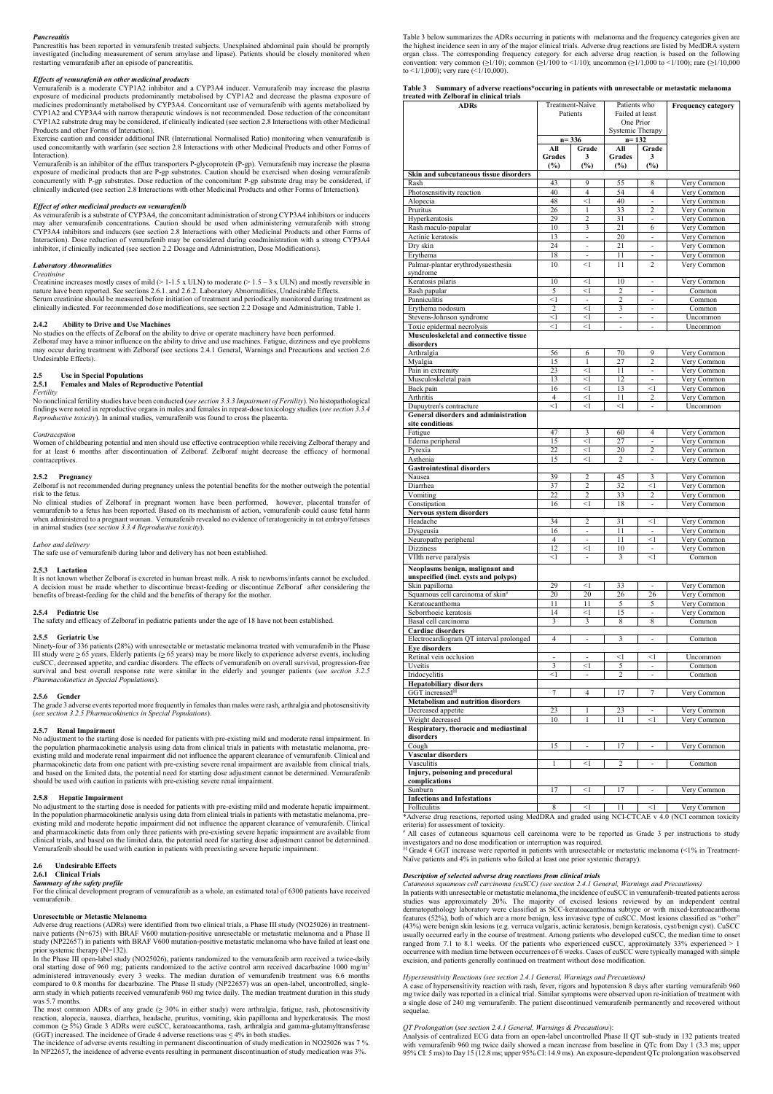### **Pancreatitis**

### Effects of vemurafenib on other medicinal products

### Effect of other medicinal products on vemurafenib

### Laboratory Abnormalities

### Creatinine

### Labor and delivery

Table 3 below summarizes the ADRs occurring in patients with melanoma and the frequency categories given are<br>the highest incidence seen in any of the major clinical trials. Adverse drug reactions are listed by MedDRA syst the highest incidence seen in any of the major clinical trials. Adverse drug reactions are listed by MedDRA system Table 3 below summarizes the ADRs occurring in patients with melanoma and the frequency categories given are<br>the highest incidence seen in any of the major clinical trials. Adverse drug reactions are listed by MedDRA syst convention: very common ( $\geq$ 1/10); common ( $\geq$ 1/100 to <1/10); uncommon ( $\geq$ 1/1,000 to <1/100); rare ( $\geq$ 1/10,000 to <1/1,000); very rare (<1/10,000).

risk to the feuture<br>
risk to the feuture studies of Zelboraf in pregnant women have been performed, however, placental transfer<br>
No clinical studies of Zelboraf in pregnant women. Newturafemible coality, when<br>the administe No adjustment to the starting dose is needed for patients with pre-existing mild and moderate renal impairment. In the population pharmacokinetic analysis using data from clinical trials in patients with metastatic melanoma, preexisting mild and moderate renal impairment did not influence the apparent clearance of vemurafenib. Clinical and pharmacokinetic data from one patient with pre-existing severe renal impairment are available from clinical trials, and based on the limited data, the potential need for starting dose adjustment cannot be determined. Vemurafenib should be used with caution in patients with pre-existing severe renal impairment. **2.5.3 Lactation**<br>
2.5.3 Lactation<br>
It is not known whether Zelboraf is exercted in luman breast milk. A risk to newborns/infants cannot be excluded<br>
A decision must be made whether to discontinue breast-feeding or discon It is not known whether Zelborna is excreted in human breast milit. A risk to newborns funisher and be excluded.<br>
A decision must be made whether to discontinue beast-feeding or discontinue Zelbornf after considering the **2.5.5 Ceriatric Use**<br>
Ninex/Shore-Shore (1386 paintens (28%) with unresectable or metastatic melanoma treated with venuratenib in the Ninex+Shore in Shore-Mark (1686 paintens (2.65 years) may be more likely to experience 2.5.5 Ceriarite Use<br>
Usinces-Corenal Case (28%) with unresectable or metastatic melanoma treated with venuratent) in the III study were 265 years. Elderly paired is 65 years) may be more likely to experience adverse coent Pharmacokinetics in Special Propulations).<br>
Les Gender<br>
1.6 Carolier de Meridian (se secteurs reported more frequently in females than males were rash, arthmigia and photosensitivity<br>
(les section 3.2.5 Pharmacokinetics i

|                                                                                                                                                                                                                                                                                                                                                                                                                                                                                                                                                              | Table 3 Summary of adverse reactions*occuring in patients with unresectable or metastatic melanoma                                                                                                                                                                                                                                                  |                             |                            |                                                |                          |                            |
|--------------------------------------------------------------------------------------------------------------------------------------------------------------------------------------------------------------------------------------------------------------------------------------------------------------------------------------------------------------------------------------------------------------------------------------------------------------------------------------------------------------------------------------------------------------|-----------------------------------------------------------------------------------------------------------------------------------------------------------------------------------------------------------------------------------------------------------------------------------------------------------------------------------------------------|-----------------------------|----------------------------|------------------------------------------------|--------------------------|----------------------------|
| Vemurafenib is a moderate CYP1A2 inhibitor and a CYP3A4 inducer. Vemurafenib may increase the plasma<br>exposure of medicinal products predominantly metabolised by CYP1A2 and decrease the plasma exposure of<br>medicines predominantly metabolised by CYP3A4. Concomitant use of vemurafenib with agents metabolized by<br>CYP1A2 and CYP3A4 with narrow therapeutic windows is not recommended. Dose reduction of the concomitant<br>CYP1A2 substrate drug may be considered, if clinically indicated (see section 2.8 Interactions with other Medicinal | treated with Zelboraf in clinical trials<br><b>ADRs</b>                                                                                                                                                                                                                                                                                             | Treatment-Naive<br>Patients |                            | Patients who<br>Failed at least<br>One Prior   |                          | <b>Frequency category</b>  |
| Products and other Forms of Interaction).<br>Exercise caution and consider additional INR (International Normalised Ratio) monitoring when vemurafenib is<br>used concomitantly with warfarin (see section 2.8 Interactions with other Medicinal Products and other Forms of<br>Interaction).                                                                                                                                                                                                                                                                |                                                                                                                                                                                                                                                                                                                                                     | $n = 336$<br>All<br>Grades  | Grade<br>$\mathbf{3}$      | Systemic Therapy<br>$n = 132$<br>All<br>Grades | Grade<br>$\mathbf{3}$    |                            |
| Vemurafenib is an inhibitor of the efflux transporters P-glycoprotein (P-gp). Vemurafenib may increase the plasma<br>exposure of medicinal products that are P-gp substrates. Caution should be exercised when dosing vemurafenib<br>concurrently with P-gp substrates. Dose reduction of the concomitant P-gp substrate drug may be considered, if                                                                                                                                                                                                          | Skin and subcutaneous tissue disorders<br>Rash                                                                                                                                                                                                                                                                                                      | (%)<br>43                   | (%)<br>-9                  | (%)<br>55                                      | (%)<br>-8                | Very Common                |
| clinically indicated (see section 2.8 Interactions with other Medicinal Products and other Forms of Interaction).                                                                                                                                                                                                                                                                                                                                                                                                                                            | Photosensitivity reaction<br>Alopecia                                                                                                                                                                                                                                                                                                               | 40<br>48                    | $\overline{4}$<br>$\leq$ 1 | 54<br>40                                       | $\overline{4}$<br>$\sim$ | Very Common<br>Very Common |
| Effect of other medicinal products on vemurafenib<br>As vemurafenib is a substrate of CYP3A4, the concomitant administration of strong CYP3A4 inhibitors or inducers                                                                                                                                                                                                                                                                                                                                                                                         | Pruritus                                                                                                                                                                                                                                                                                                                                            | 26                          |                            | 33                                             | 2                        | Very Common                |
| may alter vemurafenib concentrations. Caution should be used when administering vemurafenib with strong<br>CYP3A4 inhibitors and inducers (see section 2.8 Interactions with other Medicinal Products and other Forms of                                                                                                                                                                                                                                                                                                                                     | Hyperkeratosis<br>Rash maculo-papular                                                                                                                                                                                                                                                                                                               | 29<br>10                    | 2<br>$\overline{3}$        | 31<br>21                                       | $\sim$ $-$<br>6          | Very Common<br>Very Common |
| Interaction). Dose reduction of vemurafenib may be considered during coadministration with a strong CYP3A4<br>inhibitor, if clinically indicated (see section 2.2 Dosage and Administration, Dose Modifications).                                                                                                                                                                                                                                                                                                                                            | Actinic keratosis<br>Dry skin                                                                                                                                                                                                                                                                                                                       | 13<br>24                    | $\sim$<br>$\sim$           | 20<br>21                                       | $\sim$<br>$\sim$         | Very Common<br>Very Common |
| <b>Laboratory Abnormalities</b>                                                                                                                                                                                                                                                                                                                                                                                                                                                                                                                              | Erythema<br>Palmar-plantar erythrodysaesthesia                                                                                                                                                                                                                                                                                                      | 18<br>10                    | $\leq$ 1                   | 11<br>11                                       | $\sim$<br>2              | Very Common<br>Very Common |
| Creatinine<br>Creatinine increases mostly cases of mild (> 1-1.5 x ULN) to moderate (> 1.5 – 3 x ULN) and mostly reversible in                                                                                                                                                                                                                                                                                                                                                                                                                               | syndrome<br>Keratosis pilaris                                                                                                                                                                                                                                                                                                                       | 10                          | $\leq$ 1                   | 10                                             | $\sim$                   | Very Common                |
| nature have been reported. See sections 2.6.1. and 2.6.2. Laboratory Abnormalities, Undesirable Effects.<br>Serum creatinine should be measured before initiation of treatment and periodically monitored during treatment as                                                                                                                                                                                                                                                                                                                                | Rash papular<br>Panniculitis                                                                                                                                                                                                                                                                                                                        | - 5<br>$\leq$ 1             | $\leq$ 1<br>$\sim$         | $\mathcal{L}$                                  | $\sim$<br>$\sim$         | Common                     |
| clinically indicated. For recommended dose modifications, see section 2.2 Dosage and Administration, Table 1.                                                                                                                                                                                                                                                                                                                                                                                                                                                | Ervthema nodosum                                                                                                                                                                                                                                                                                                                                    | 2                           | $\leq$ 1                   | $\mathcal{R}$                                  | $\sim$                   | Common<br>Common           |
| 2.4.2 Ability to Drive and Use Machines                                                                                                                                                                                                                                                                                                                                                                                                                                                                                                                      | Stevens-Johnson syndrome<br>Toxic epidermal necrolysis                                                                                                                                                                                                                                                                                              | $\leq$ 1<br>$\leq$ 1        | $\leq$ 1<br><1             |                                                | $\sim$<br>$\sim$         | Uncommon<br>Uncommon       |
| No studies on the effects of Zelboraf on the ability to drive or operate machinery have been performed.<br>Zelboraf may have a minor influence on the ability to drive and use machines. Fatigue, dizziness and eye problems                                                                                                                                                                                                                                                                                                                                 | Musculoskeletal and connective tissue<br>disorders                                                                                                                                                                                                                                                                                                  |                             |                            |                                                |                          |                            |
| may occur during treatment with Zelboraf (see sections 2.4.1 General, Warnings and Precautions and section 2.6<br>Undesirable Effects).                                                                                                                                                                                                                                                                                                                                                                                                                      | Arthralgia<br>Myalgia                                                                                                                                                                                                                                                                                                                               | 56<br>15                    | 6                          | 70<br>27                                       | 9<br>2                   | Very Common<br>Verv Common |
| 2.5<br>Use in Special Populations                                                                                                                                                                                                                                                                                                                                                                                                                                                                                                                            | Pain in extremity                                                                                                                                                                                                                                                                                                                                   | 23                          | $\leq$ 1                   | 11                                             | $\sim$                   | Very Common                |
| 2.5.1 Females and Males of Reproductive Potential                                                                                                                                                                                                                                                                                                                                                                                                                                                                                                            | Musculoskeletal pain<br>Back pain                                                                                                                                                                                                                                                                                                                   | 13<br>16                    | $\leq$ 1<br>$\leq$ 1       | 12<br>13                                       | $\sim$<br>$\leq$ 1       | Very Common<br>Very Common |
| Fertility<br>No nonclinical fertility studies have been conducted (see section 3.3.3 Impairment of Fertility). No histopathological                                                                                                                                                                                                                                                                                                                                                                                                                          | Arthritis<br>Dupuytren's contracture                                                                                                                                                                                                                                                                                                                | $\overline{4}$<br>$\leq$ 1  | $\leq$ 1<br>$\leq$ 1       | 11<br>$\leq$ 1                                 | 2<br>$\sim$              | Very Common<br>Uncommon    |
| findings were noted in reproductive organs in males and females in repeat-dose toxicology studies (see section 3.3.4<br>Reproductive toxicity). In animal studies, vemurafenib was found to cross the placenta.                                                                                                                                                                                                                                                                                                                                              | General disorders and administration                                                                                                                                                                                                                                                                                                                |                             |                            |                                                |                          |                            |
| Contraception                                                                                                                                                                                                                                                                                                                                                                                                                                                                                                                                                | site conditions<br>Fatigue                                                                                                                                                                                                                                                                                                                          | 47                          | 3                          | 60                                             | $\overline{4}$           | Very Common                |
| Women of childbearing potential and men should use effective contraception while receiving Zelboraf therapy and<br>for at least 6 months after discontinuation of Zelboraf. Zelboraf might decrease the efficacy of hormonal                                                                                                                                                                                                                                                                                                                                 | Edema peripheral<br>Pyrexia                                                                                                                                                                                                                                                                                                                         | 15<br>22                    | $\leq$ 1<br>$\leq$ 1       | 27<br>20                                       | $\sim$<br>2              | Very Common<br>Very Common |
| contraceptives.                                                                                                                                                                                                                                                                                                                                                                                                                                                                                                                                              | Asthenia<br><b>Gastrointestinal disorders</b>                                                                                                                                                                                                                                                                                                       | 15                          | $\leq$ 1                   | 2                                              | $\sim$                   | Very Common                |
| 2.5.2 Pregnancy                                                                                                                                                                                                                                                                                                                                                                                                                                                                                                                                              | Nausea                                                                                                                                                                                                                                                                                                                                              | 39                          | 2                          | 45                                             | 3                        | Very Common                |
| Zelboraf is not recommended during pregnancy unless the potential benefits for the mother outweigh the potential<br>risk to the fetus.                                                                                                                                                                                                                                                                                                                                                                                                                       | Diarrhea<br>Vomiting                                                                                                                                                                                                                                                                                                                                | 37<br>22                    | 2<br>2                     | 32<br>33                                       | $\leq$ 1<br>2            | Very Common<br>Very Common |
| No clinical studies of Zelboraf in pregnant women have been performed, however, placental transfer of<br>vemurafenib to a fetus has been reported. Based on its mechanism of action, vemurafenib could cause fetal harm                                                                                                                                                                                                                                                                                                                                      | Constipation<br><b>Nervous system disorders</b>                                                                                                                                                                                                                                                                                                     | 16                          | $\leq$ 1                   | 18                                             | $\sim$                   | Very Common                |
| when administered to a pregnant woman. Vemurafenib revealed no evidence of teratogenicity in rat embryo/fetuses<br>in animal studies (see section 3.3.4 Reproductive toxicity).                                                                                                                                                                                                                                                                                                                                                                              | Headache                                                                                                                                                                                                                                                                                                                                            | 34                          | 2                          | 31                                             | $\leq$ 1                 | Very Common                |
| Labor and delivery                                                                                                                                                                                                                                                                                                                                                                                                                                                                                                                                           | Dysgeusia<br>Neuropathy peripheral                                                                                                                                                                                                                                                                                                                  | 16<br>4                     | $\sim$<br>$\sim$           | 11<br>11                                       | $\sim$<br>$\leq$ 1       | Very Common<br>Very Common |
| The safe use of vemurafenib during labor and delivery has not been established.                                                                                                                                                                                                                                                                                                                                                                                                                                                                              | Dizziness<br>VIIth nerve paralysis                                                                                                                                                                                                                                                                                                                  | 12<br>$\leq$ 1              | $\leq$ 1                   | 10<br>$\mathcal{R}$                            | $\sim$<br>$\leq$ 1       | Very Common<br>Common      |
| 2.5.3 Lactation                                                                                                                                                                                                                                                                                                                                                                                                                                                                                                                                              | Neoplasms benign, malignant and                                                                                                                                                                                                                                                                                                                     |                             |                            |                                                |                          |                            |
| It is not known whether Zelboraf is excreted in human breast milk. A risk to newborns/infants cannot be excluded.<br>A decision must be made whether to discontinue breast-feeding or discontinue Zelboraf after considering the                                                                                                                                                                                                                                                                                                                             | unspecified (incl. cysts and polyps)<br>Skin papilloma                                                                                                                                                                                                                                                                                              | 29                          | $\leq$ 1                   | 33                                             | $\sim$                   | Very Common                |
| benefits of breast-feeding for the child and the benefits of therapy for the mother.                                                                                                                                                                                                                                                                                                                                                                                                                                                                         | Squamous cell carcinoma of skin <sup>#</sup><br>Keratoacanthoma                                                                                                                                                                                                                                                                                     | 20<br>-11                   | 20<br>-11                  | 26<br>5                                        | 26<br>5                  | Very Common<br>Very Common |
| 2.5.4 Pediatric Use<br>The safety and efficacy of Zelboraf in pediatric patients under the age of 18 have not been established.                                                                                                                                                                                                                                                                                                                                                                                                                              | Seborrhoeic keratosis<br>Basal cell carcinoma                                                                                                                                                                                                                                                                                                       | 14<br>-3                    | $\leq$ 1<br>$\mathcal{R}$  | 15<br>8                                        | $\sim$<br>-8             | Very Common<br>Common      |
| 2.5.5 Geriatric Use                                                                                                                                                                                                                                                                                                                                                                                                                                                                                                                                          | Cardiac disorders                                                                                                                                                                                                                                                                                                                                   |                             |                            |                                                |                          |                            |
| Ninety-four of 336 patients (28%) with unresectable or metastatic melanoma treated with vemurafenib in the Phase                                                                                                                                                                                                                                                                                                                                                                                                                                             | Electrocardiogram QT interval prolonged<br><b>Eye disorders</b>                                                                                                                                                                                                                                                                                     | $\overline{4}$              |                            |                                                | $\sim$                   | Common                     |
| III study were $\geq 65$ years. Elderly patients ( $\geq 65$ years) may be more likely to experience adverse events, including<br>cuSCC, decreased appetite, and cardiac disorders. The effects of vemurafenib on overall survival, progression-free                                                                                                                                                                                                                                                                                                         | Retinal vein occlusion<br>Uveitis                                                                                                                                                                                                                                                                                                                   | $\sim$<br>-3                | $\sim$<br>$\leq$ 1         | $\leq$ 1<br>-5                                 | $\leq$ 1<br>$\sim$       | Uncommon<br>Common         |
| survival and best overall response rate were similar in the elderly and younger patients (see section 3.2.5)<br>Pharmacokinetics in Special Populations).                                                                                                                                                                                                                                                                                                                                                                                                    | Iridocyclitis                                                                                                                                                                                                                                                                                                                                       | <1                          |                            |                                                |                          | Common                     |
| 2.5.6 Gender                                                                                                                                                                                                                                                                                                                                                                                                                                                                                                                                                 | <b>Hepatobiliary disorders</b><br>GGT increased <sup>§§</sup>                                                                                                                                                                                                                                                                                       |                             |                            |                                                |                          | Very Common                |
| The grade 3 adverse events reported more frequently in females than males were rash, arthralgia and photosensitivity<br>(see section 3.2.5 Pharmacokinetics in Special Populations).                                                                                                                                                                                                                                                                                                                                                                         | <b>Metabolism and nutrition disorders</b><br>Decreased appetite                                                                                                                                                                                                                                                                                     | 23                          |                            | 23                                             |                          | Very Common                |
|                                                                                                                                                                                                                                                                                                                                                                                                                                                                                                                                                              | Weight decreased<br>Respiratory, thoracic and mediastinal                                                                                                                                                                                                                                                                                           | 10                          |                            | 11                                             | $\leq$ 1                 | Very Common                |
| 2.5.7 Renal Impairment<br>No adjustment to the starting dose is needed for patients with pre-existing mild and moderate renal impairment. In                                                                                                                                                                                                                                                                                                                                                                                                                 | disorders                                                                                                                                                                                                                                                                                                                                           |                             |                            |                                                |                          |                            |
| the population pharmacokinetic analysis using data from clinical trials in patients with metastatic melanoma, pre-<br>existing mild and moderate renal impairment did not influence the apparent clearance of vemurafenib. Clinical and                                                                                                                                                                                                                                                                                                                      | Cough<br>Vascular disorders                                                                                                                                                                                                                                                                                                                         | 15                          |                            | 17                                             | $\sim$                   | Very Common                |
| pharmacokinetic data from one patient with pre-existing severe renal impairment are available from clinical trials,<br>and based on the limited data, the potential need for starting dose adjustment cannot be determined. Vemurafenib                                                                                                                                                                                                                                                                                                                      | Vasculitis<br>Injury, poisoning and procedural                                                                                                                                                                                                                                                                                                      |                             | $\leq$ 1                   |                                                |                          | Common                     |
| should be used with caution in patients with pre-existing severe renal impairment.                                                                                                                                                                                                                                                                                                                                                                                                                                                                           | complications                                                                                                                                                                                                                                                                                                                                       |                             |                            |                                                |                          |                            |
| 2.5.8 Hepatic Impairment                                                                                                                                                                                                                                                                                                                                                                                                                                                                                                                                     | Sunburn<br><b>Infections and Infestations</b>                                                                                                                                                                                                                                                                                                       | 17                          | $\leq$ 1                   | 17                                             | $\sim$                   | Very Common                |
| No adjustment to the starting dose is needed for patients with pre-existing mild and moderate hepatic impairment.<br>In the population pharmacokinetic analysis using data from clinical trials in patients with metastatic melanoma, pre-                                                                                                                                                                                                                                                                                                                   | Folliculitis<br>*Adverse drug reactions, reported using MedDRA and graded using NCI-CTCAE v 4.0 (NCI common toxicity                                                                                                                                                                                                                                | -8                          | $\leq$ 1                   |                                                | $\leq$ 1                 | Very Common                |
| existing mild and moderate hepatic impairment did not influence the apparent clearance of vemurafenib. Clinical<br>and pharmacokinetic data from only three patients with pre-existing severe hepatic impairment are available from                                                                                                                                                                                                                                                                                                                          | criteria) for assessment of toxicity.<br># All cases of cutaneous squamous cell carcinoma were to be reported as Grade 3 per instructions to study                                                                                                                                                                                                  |                             |                            |                                                |                          |                            |
| clinical trials, and based on the limited data, the potential need for starting dose adjustment cannot be determined.<br>Vemurafenib should be used with caution in patients with preexisting severe hepatic impairment.                                                                                                                                                                                                                                                                                                                                     | investigators and no dose modification or interruption was required.<br><sup>§§</sup> Grade 4 GGT increase were reported in patients with unresectable or metastatic melanoma (<1% in Treatment-                                                                                                                                                    |                             |                            |                                                |                          |                            |
| 2.6 Undesirable Effects                                                                                                                                                                                                                                                                                                                                                                                                                                                                                                                                      | Naïve patients and 4% in patients who failed at least one prior systemic therapy).                                                                                                                                                                                                                                                                  |                             |                            |                                                |                          |                            |
| 2.6.1 Clinical Trials                                                                                                                                                                                                                                                                                                                                                                                                                                                                                                                                        | Description of selected adverse drug reactions from clinical trials                                                                                                                                                                                                                                                                                 |                             |                            |                                                |                          |                            |
| <b>Summary of the safety profile</b><br>For the clinical development program of vemurafenib as a whole, an estimated total of 6300 patients have received                                                                                                                                                                                                                                                                                                                                                                                                    | Cutaneous squamous cell carcinoma (cuSCC) (see section 2.4.1 General, Warnings and Precautions)<br>In patients with unresectable or metastatic melanoma, the incidence of cuSCC in vemurafenib-treated patients across                                                                                                                              |                             |                            |                                                |                          |                            |
| vemurafenib.                                                                                                                                                                                                                                                                                                                                                                                                                                                                                                                                                 | studies was approximately 20%. The majority of excised lesions reviewed by an independent central<br>dermatopathology laboratory were classified as SCC-keratoacanthoma subtype or with mixed-keratoacanthoma                                                                                                                                       |                             |                            |                                                |                          |                            |
| Unresectable or Metastic Melanoma                                                                                                                                                                                                                                                                                                                                                                                                                                                                                                                            | features (52%), both of which are a more benign, less invasive type of cuSCC. Most lesions classified as "other"                                                                                                                                                                                                                                    |                             |                            |                                                |                          |                            |
|                                                                                                                                                                                                                                                                                                                                                                                                                                                                                                                                                              |                                                                                                                                                                                                                                                                                                                                                     |                             |                            |                                                |                          |                            |
| Adverse drug reactions (ADRs) were identified from two clinical trials, a Phase III study (NO25026) in treatment-<br>naive patients (N=675) with BRAF V600 mutation-positive unresectable or metastatic melanoma and a Phase II<br>study (NP22657) in patients with BRAF V600 mutation-positive metastatic melanoma who have failed at least one                                                                                                                                                                                                             | (43%) were benign skin lesions (e.g. verruca vulgaris, actinic keratosis, benign keratosis, cyst/benign cyst). CuSCC<br>usually occurred early in the course of treatment. Among patients who developed cuSCC, the median time to onset<br>ranged from 7.1 to 8.1 weeks. Of the patients who experienced cuSCC, approximately $33%$ experienced > 1 |                             |                            |                                                |                          |                            |

The gradient studient that the formula is the main and the studient in particular that the studient in the studient in the studient of the studient of the studient of the studient of the studient of the studient of the st In the Phase III open-label study (NO25026), patients randomized to the vemurafenib arm received a twice-daily oral starting dose of 960 mg; patients randomized to the active control arm received dacarbazine 1000 mg/m<sup>2</sup> 2.5 Read linearing the starting dose is acceled for patients with pre-ceiving and and noderate control arguments in the particle of Patients results results in the active control are the active control are the active con administered intravenously every 3 weeks. The median duration of vemurafenib treatment was 6.6 months compared to 0.8 months for dacarbazine. The Phase II study (NP22657) was an open-label, uncontrolled, singlethe propositoric and the study is study in the particular distinction and the host compared to the compare of the study in the compare of the study of the phase II study (NP2) was a compatible to the phase II study (NP2) compared to 0.8 months for dacarbazine. The Phase II study (NP22657) was an open-label, uncontrolled, single-<br>arm study in which patients received vemurafenib 960 mg twice daily. The median treatment duration in this study was 5.7 months. In the population plane and the incidence of adverse in the study of the incidence of adverse events result in the incidence of a continue of a continue of a continue of a continue of a continue of a continue of a continue

The most common ADRs of any grade ( $\geq 30\%$  in either study) were arthralgia, fatigue, rash, photosensitivity sequelae. reaction, alopecia, nausea, diarrhea, headache, pruritus, vomiting, skin papilloma and hyperkeratosis. The most common  $(\geq 5\%)$  Grade 3 ADRs were cuSCC, keratoacanthoma, rash, arthralgia and gamma-glutamyltransferase

(GGT) increased. The incidence of Grade 4 adverse reactions was  $\leq 4\%$  in both studies.<br>The incidence of adverse events resulting in permanent discontinuation of study medication in NO25026 was 7 %.

|                                          | Table 3 Summary of adverse reactions*occuring in patients with unresectable or metastatic melanoma |  |  |  |
|------------------------------------------|----------------------------------------------------------------------------------------------------|--|--|--|
| treated with Zelboraf in clinical trials |                                                                                                    |  |  |  |

### Description of selected adverse drug reactions from clinical trials

No applace to the sharing does noted by product in the incidence of a special of the incidence of a special of the incidence of a special of a special of the incidence of a special of the incidence of a special of the inc Cutaneous squamous cell carcinoma (cuSCC) (see section 2.4.1 General, Warnings and Precautions)<br>In patients with unresectable or metastatic melanoma, the incidence of cuSCC in vemurafenib-treated patients across studies was approximately 20%. The majority of excised lesions reviewed by an independent central dermatopathology laboratory were classified as SCC-keratoacanthoma subtype or with mixed-keratoacanthoma features (52%), both of which are a more benign, less invasive type of cuSCC. Most lesions classified as "other" (43%) were benign skin lesions (e.g. verruca vulgaris, actinic keratosis, benign keratosis, cyst/benign cyst). CuSCC usually occurred early in the course of treatment. Among patients who developed cuSCC, the median time to onset ranged from 7.1 to 8.1 weeks. Of the patients who experienced cuSCC, approximately 33% experienced > 1 occurrence with median time between occurrences of 6 weeks. Cases of cuSCC were typically managed with simple excision, and patients generally continued on treatment without dose modification. **Example 11** Case of the control of the minimizary of the minimizary of the minimizary of the minimizary and procedural and infesting the minimizary reaction and infesting the starting in the starting in the starting in t **Figure 2013** methods of 240 mg versions of 240 mg versions of 240 mg vemurates of 240 mg vemurates of 240 mg vemurates of 240 mg vemurates of 240 mg vemurates of 240 mg vemurates of 240 mg vemurates of 240 mg vemurates o

### Hypersensitivity Reactions (see section 2.4.1 General, Warnings and Precautions)

mg twice daily was reported in a clinical trial. Similar symptoms were observed upon re-initiation of treatment with sequelae.

### QT Prolongation (see section 2.4.1 General, Warnings & Precautions):

Analysis of centralized ECG data from an open-label uncontrolled Phase II QT sub-study in 132 patients treated with vemurafenib 960 mg twice daily showed a mean increase from baseline in QTc from Day 1 (3.3 ms; upper 95% CI: 5 ms) to Day 15 (12.8 ms; upper 95% CI: 14.9 ms). An exposure-dependent QTc prolongation was observed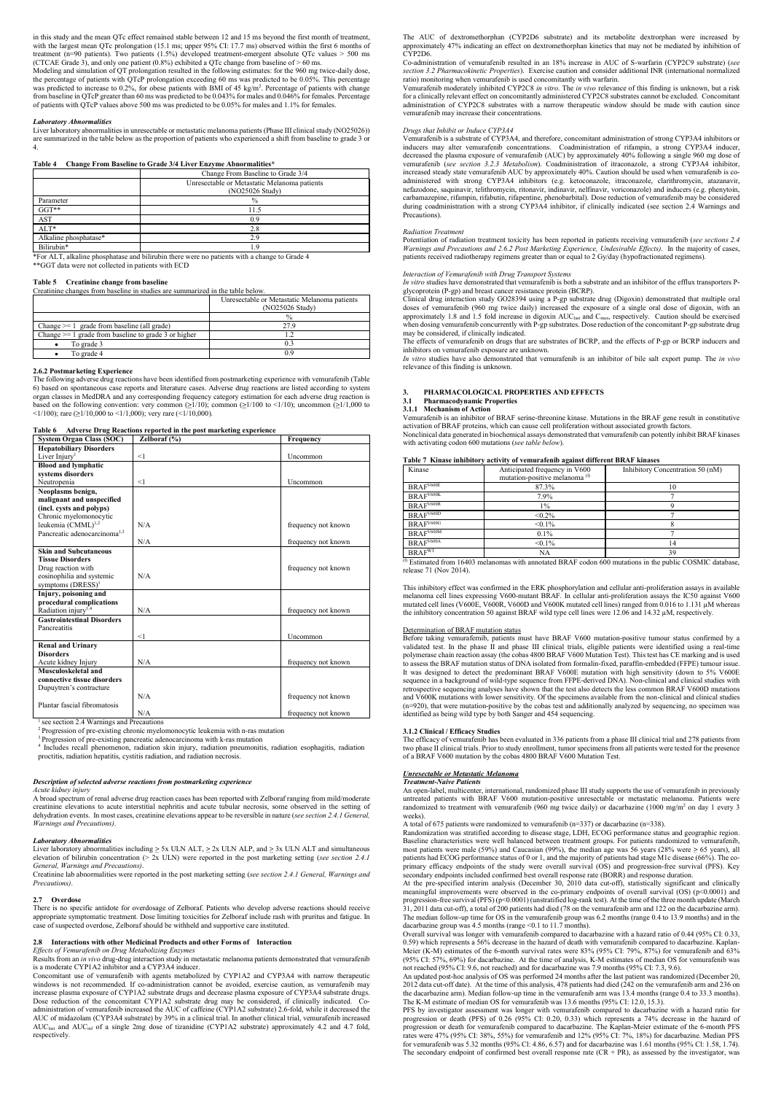in this study and the mean QTc effect remained stable between 12 and 15 ms beyond the first month of treatment,<br>with the largest mean QTc prolongation (15.1 ms; upper 95% CI: 17.7 ms) observed within the first 6 months of<br> Modeling and simulation of QT prolongation resulted in the following estimates: for the 960 mg twice-daily dose, the percentage of patients with QTcP prolongation exceeding 60 ms was predicted to be 0.05%. This percentage in this study and the mean QTc effect remained stable between 12 and 15 ms beyond the first month of treatment,<br>
with the largest mean QTc prolongation (15.1 ms; upper 95% CI: 17.7 ms) observed within the first formulars was predicted to increase to 0.2%, for obese patients with BMI of 45 kg/m<sup>2</sup>. Percentage of patients with change Vemurafenib moderately inhibite of patients with QTcP values above 500 ms was predicted to be 0.05% for males and 1.1% for females.

### Laboratory Abnormalities

|  |  | Table 4 Change From Baseline to Grade 3/4 Liver Enzyme Abnormalities* |
|--|--|-----------------------------------------------------------------------|
|  |  |                                                                       |

|                                                          | Unresectable or Metastatic Melanoma patients | Clinical drug                                                         |
|----------------------------------------------------------|----------------------------------------------|-----------------------------------------------------------------------|
|                                                          | (NO25026 Study)                              | doses of ven                                                          |
|                                                          |                                              | approximatel                                                          |
| Change $>= 1$ grade from baseline (all grade)            | 27.9                                         | when dosing                                                           |
| Change $\geq 1$ grade from baseline to grade 3 or higher |                                              | may be consi                                                          |
| To grade 3                                               |                                              | The effects o                                                         |
| To grade 4                                               |                                              | inhibitors on<br>$\mathbf{r}$ $\sim$ $\mathbf{r}$ $\sim$ $\mathbf{r}$ |

|                                                                                                                                                                                           |                                                                  | in this study and the mean QTc effect remained stable between 12 and 15 ms beyond the first month of treatment,<br>with the largest mean QTc prolongation (15.1 ms; upper 95% CI: 17.7 ms) observed within the first 6 months of<br>treatment (n=90 patients). Two patients $(1.5%)$ developed treatment-emergent absolute QTc values > 500 ms<br>(CTCAE Grade 3), and only one patient $(0.8\%)$ exhibited a QTc change from baseline of $> 60$ ms.<br>Modeling and simulation of QT prolongation resulted in the following estimates: for the 960 mg twice-daily dose,<br>the percentage of patients with QTcP prolongation exceeding 60 ms was predicted to be 0.05%. This percentage<br>was predicted to increase to 0.2%, for obese patients with BMI of 45 kg/m <sup>2</sup> . Percentage of patients with change<br>from baseline in QTcP greater than 60 ms was predicted to be 0.043% for males and 0.046% for females. Percentage<br>of patients with QTcP values above 500 ms was predicted to be 0.05% for males and 1.1% for females. |  |  |  |  |  |  |
|-------------------------------------------------------------------------------------------------------------------------------------------------------------------------------------------|------------------------------------------------------------------|----------------------------------------------------------------------------------------------------------------------------------------------------------------------------------------------------------------------------------------------------------------------------------------------------------------------------------------------------------------------------------------------------------------------------------------------------------------------------------------------------------------------------------------------------------------------------------------------------------------------------------------------------------------------------------------------------------------------------------------------------------------------------------------------------------------------------------------------------------------------------------------------------------------------------------------------------------------------------------------------------------------------------------------------------|--|--|--|--|--|--|
| <b>Laboratory Abnormalities</b><br>4.                                                                                                                                                     |                                                                  | Liver laboratory abnormalities in unresectable or metastatic melanoma patients (Phase III clinical study (NO25026))<br>are summarized in the table below as the proportion of patients who experienced a shift from baseline to grade 3 or                                                                                                                                                                                                                                                                                                                                                                                                                                                                                                                                                                                                                                                                                                                                                                                                         |  |  |  |  |  |  |
| Table 4                                                                                                                                                                                   | Change From Baseline to Grade 3/4 Liver Enzyme Abnormalities*    |                                                                                                                                                                                                                                                                                                                                                                                                                                                                                                                                                                                                                                                                                                                                                                                                                                                                                                                                                                                                                                                    |  |  |  |  |  |  |
|                                                                                                                                                                                           |                                                                  | Change From Baseline to Grade 3/4                                                                                                                                                                                                                                                                                                                                                                                                                                                                                                                                                                                                                                                                                                                                                                                                                                                                                                                                                                                                                  |  |  |  |  |  |  |
|                                                                                                                                                                                           |                                                                  | Unresectable or Metastatic Melanoma patients<br>(NO25026 Study)                                                                                                                                                                                                                                                                                                                                                                                                                                                                                                                                                                                                                                                                                                                                                                                                                                                                                                                                                                                    |  |  |  |  |  |  |
| Parameter                                                                                                                                                                                 |                                                                  | $\frac{0}{0}$                                                                                                                                                                                                                                                                                                                                                                                                                                                                                                                                                                                                                                                                                                                                                                                                                                                                                                                                                                                                                                      |  |  |  |  |  |  |
| $GGT**$                                                                                                                                                                                   |                                                                  | 11.5                                                                                                                                                                                                                                                                                                                                                                                                                                                                                                                                                                                                                                                                                                                                                                                                                                                                                                                                                                                                                                               |  |  |  |  |  |  |
| AST                                                                                                                                                                                       |                                                                  | $_{0.9}$                                                                                                                                                                                                                                                                                                                                                                                                                                                                                                                                                                                                                                                                                                                                                                                                                                                                                                                                                                                                                                           |  |  |  |  |  |  |
|                                                                                                                                                                                           |                                                                  |                                                                                                                                                                                                                                                                                                                                                                                                                                                                                                                                                                                                                                                                                                                                                                                                                                                                                                                                                                                                                                                    |  |  |  |  |  |  |
| $ALT^*$                                                                                                                                                                                   |                                                                  | 2.8                                                                                                                                                                                                                                                                                                                                                                                                                                                                                                                                                                                                                                                                                                                                                                                                                                                                                                                                                                                                                                                |  |  |  |  |  |  |
| Alkaline phosphatase*                                                                                                                                                                     | 2.9                                                              |                                                                                                                                                                                                                                                                                                                                                                                                                                                                                                                                                                                                                                                                                                                                                                                                                                                                                                                                                                                                                                                    |  |  |  |  |  |  |
| Bilirubin*                                                                                                                                                                                |                                                                  | 1.9<br>For ALT, alkaline phosphatase and bilirubin there were no patients with a change to Grade 4                                                                                                                                                                                                                                                                                                                                                                                                                                                                                                                                                                                                                                                                                                                                                                                                                                                                                                                                                 |  |  |  |  |  |  |
| **GGT data were not collected in patients with ECD<br><b>Creatinine change from baseline</b><br>Table 5<br>Creatinine changes from baseline in studies are summarized in the table below. |                                                                  |                                                                                                                                                                                                                                                                                                                                                                                                                                                                                                                                                                                                                                                                                                                                                                                                                                                                                                                                                                                                                                                    |  |  |  |  |  |  |
|                                                                                                                                                                                           |                                                                  | Unresectable or Metastatic Melanoma patients                                                                                                                                                                                                                                                                                                                                                                                                                                                                                                                                                                                                                                                                                                                                                                                                                                                                                                                                                                                                       |  |  |  |  |  |  |
|                                                                                                                                                                                           |                                                                  | (NO25026 Study)                                                                                                                                                                                                                                                                                                                                                                                                                                                                                                                                                                                                                                                                                                                                                                                                                                                                                                                                                                                                                                    |  |  |  |  |  |  |
|                                                                                                                                                                                           |                                                                  | $\%$                                                                                                                                                                                                                                                                                                                                                                                                                                                                                                                                                                                                                                                                                                                                                                                                                                                                                                                                                                                                                                               |  |  |  |  |  |  |
| Change $>= 1$ grade from baseline (all grade)                                                                                                                                             |                                                                  | 27.9                                                                                                                                                                                                                                                                                                                                                                                                                                                                                                                                                                                                                                                                                                                                                                                                                                                                                                                                                                                                                                               |  |  |  |  |  |  |
| Change $\geq 1$ grade from baseline to grade 3 or higher                                                                                                                                  |                                                                  | 1.2                                                                                                                                                                                                                                                                                                                                                                                                                                                                                                                                                                                                                                                                                                                                                                                                                                                                                                                                                                                                                                                |  |  |  |  |  |  |
| To grade 3<br>٠                                                                                                                                                                           |                                                                  | 0.3                                                                                                                                                                                                                                                                                                                                                                                                                                                                                                                                                                                                                                                                                                                                                                                                                                                                                                                                                                                                                                                |  |  |  |  |  |  |
| To grade 4<br>٠                                                                                                                                                                           |                                                                  | 0.9                                                                                                                                                                                                                                                                                                                                                                                                                                                                                                                                                                                                                                                                                                                                                                                                                                                                                                                                                                                                                                                |  |  |  |  |  |  |
| 2.6.2 Postmarketing Experience<br>$\langle 1/100 \rangle$ ; rare ( $\geq 1/10,000$ to $\langle 1/1,000 \rangle$ ; very rare ( $\langle 1/10,000 \rangle$ ).                               |                                                                  | The following adverse drug reactions have been identified from postmarketing experience with vemurafenib (Table<br>6) based on spontaneous case reports and literature cases. Adverse drug reactions are listed according to system<br>organ classes in MedDRA and any corresponding frequency category estimation for each adverse drug reaction is<br>based on the following convention: very common $(\geq 1/10)$ ; common $(\geq 1/100)$ to $\leq 1/10$ ; uncommon $(\geq 1/1,000)$ to                                                                                                                                                                                                                                                                                                                                                                                                                                                                                                                                                         |  |  |  |  |  |  |
| Table 6                                                                                                                                                                                   | Adverse Drug Reactions reported in the post marketing experience |                                                                                                                                                                                                                                                                                                                                                                                                                                                                                                                                                                                                                                                                                                                                                                                                                                                                                                                                                                                                                                                    |  |  |  |  |  |  |
| <b>System Organ Class (SOC)</b>                                                                                                                                                           | Zelboraf $(\% )$                                                 | Frequency                                                                                                                                                                                                                                                                                                                                                                                                                                                                                                                                                                                                                                                                                                                                                                                                                                                                                                                                                                                                                                          |  |  |  |  |  |  |
|                                                                                                                                                                                           |                                                                  |                                                                                                                                                                                                                                                                                                                                                                                                                                                                                                                                                                                                                                                                                                                                                                                                                                                                                                                                                                                                                                                    |  |  |  |  |  |  |
| <b>Hepatobiliary Disorders</b>                                                                                                                                                            |                                                                  |                                                                                                                                                                                                                                                                                                                                                                                                                                                                                                                                                                                                                                                                                                                                                                                                                                                                                                                                                                                                                                                    |  |  |  |  |  |  |
| Liver Injury <sup>1</sup>                                                                                                                                                                 | <1                                                               | Uncommon                                                                                                                                                                                                                                                                                                                                                                                                                                                                                                                                                                                                                                                                                                                                                                                                                                                                                                                                                                                                                                           |  |  |  |  |  |  |
| <b>Blood and lymphatic</b>                                                                                                                                                                |                                                                  |                                                                                                                                                                                                                                                                                                                                                                                                                                                                                                                                                                                                                                                                                                                                                                                                                                                                                                                                                                                                                                                    |  |  |  |  |  |  |
| systems disorders                                                                                                                                                                         |                                                                  |                                                                                                                                                                                                                                                                                                                                                                                                                                                                                                                                                                                                                                                                                                                                                                                                                                                                                                                                                                                                                                                    |  |  |  |  |  |  |
| Neutropenia<br>Noonlosms honign                                                                                                                                                           | <1                                                               | Uncommon                                                                                                                                                                                                                                                                                                                                                                                                                                                                                                                                                                                                                                                                                                                                                                                                                                                                                                                                                                                                                                           |  |  |  |  |  |  |

Plantar fisscala fibronatonis  $\frac{|N/A|}{2}$ <br>
<sup>2</sup>Plantar fisscala Theorem and Precession and Precession and Precession and Precession and Precession and Precession of precession and Products and and Products and and Products The of macro-contributed above<br>  $\frac{1}{2}$  the diffusion parametering and the simulation and the simulation consistent in the parametering contributed by CYP1A2 and CYP3A4 with a several diffusion for the diffusion by Cali windows is not recommended. If co-administration cannot be avoided, exercise caution, as vemurafenib may increase plasma exposure of CYP1A2 substrate drugs and decrease plasma exposure of CYP3A4 substrate drugs. the dacarbazine arm). Median follow-up time in the vemurafenib arm was 13.4 months (range 0.4 to 33.3 months). Dose reduction of the concomitant CYP1A2 substrate drug may be considered, if clinically indicated. Coadministration of vemurafenib increased the AUC of caffeine (CYP1A2 substrate) 2.6-fold, while it decreased the AUC of midazolam (CYP3A4 substrate) by 39% in a clinical trial. In another clinical trial, vemurafenib increased AUClast and AUCinf of a single 2mg dose of tizanidine (CYP1A2 substrate) approximately 4.2 and 4.7 fold, respectively.

from baseline in QTcP greater than 60 ms was predicted to be 0.043% for males and 0.046% for females. Percentage for a clinically relevant effect on concomitantly administered CYP2C8 substrates cannot be excluded. Concomit Vemurafenib moderately inhibited CYP2C8 in vitro. The in vivo relevance of this finding is unknown, but a risk for a clinically relevant effect on concomitantly administered CYP2C8 substrates cannot be excluded. Concomitant The AUC of dextromethorphan (CYP2D6 substrate) and its metabolite dextrophan were increased by<br>approximately 47% indicating an effect on dextromethorphan kinetics that may not be mediated by inhibition of<br>CYP2D6.<br>Co-admini vemurafenib may increase their concentrations.

|                                                                                                                                                                                                                                                                                                                                                                                                                                                                                                                                                                                                                                                                                                                                  |              | Unresectable or Metastatic Melanoma patients<br>(NO25026 Study) |                        |                                                                                                         | Clinical drug interaction study GO28394 using a P-gp substrate drug (Digoxi<br>doses of vemurafenib (960 mg twice daily) increased the exposure of a sin                                                                                                                                                                                                                                                                                                                                                                                                                                                                                             |       |
|----------------------------------------------------------------------------------------------------------------------------------------------------------------------------------------------------------------------------------------------------------------------------------------------------------------------------------------------------------------------------------------------------------------------------------------------------------------------------------------------------------------------------------------------------------------------------------------------------------------------------------------------------------------------------------------------------------------------------------|--------------|-----------------------------------------------------------------|------------------------|---------------------------------------------------------------------------------------------------------|------------------------------------------------------------------------------------------------------------------------------------------------------------------------------------------------------------------------------------------------------------------------------------------------------------------------------------------------------------------------------------------------------------------------------------------------------------------------------------------------------------------------------------------------------------------------------------------------------------------------------------------------------|-------|
|                                                                                                                                                                                                                                                                                                                                                                                                                                                                                                                                                                                                                                                                                                                                  |              | $\frac{0}{0}$                                                   |                        |                                                                                                         | approximately 1.8 and 1.5 fold increase in digoxin AUC <sub>last</sub> and C <sub>max</sub> , respectiv                                                                                                                                                                                                                                                                                                                                                                                                                                                                                                                                              |       |
| Change $>= 1$ grade from baseline (all grade)                                                                                                                                                                                                                                                                                                                                                                                                                                                                                                                                                                                                                                                                                    |              | 27.9                                                            |                        |                                                                                                         | when dosing vemurafenib concurrently with P-gp substrates. Dose reduction of t                                                                                                                                                                                                                                                                                                                                                                                                                                                                                                                                                                       |       |
| Change $\geq$ 1 grade from baseline to grade 3 or higher                                                                                                                                                                                                                                                                                                                                                                                                                                                                                                                                                                                                                                                                         |              | 1.2                                                             |                        | may be considered, if clinically indicated.                                                             |                                                                                                                                                                                                                                                                                                                                                                                                                                                                                                                                                                                                                                                      |       |
| To grade 3                                                                                                                                                                                                                                                                                                                                                                                                                                                                                                                                                                                                                                                                                                                       |              | 0.3                                                             |                        |                                                                                                         | The effects of vemurafenib on drugs that are substrates of BCRP, and the effe                                                                                                                                                                                                                                                                                                                                                                                                                                                                                                                                                                        |       |
| To grade 4<br>$\bullet$                                                                                                                                                                                                                                                                                                                                                                                                                                                                                                                                                                                                                                                                                                          |              | 0.9                                                             |                        |                                                                                                         | inhibitors on vemurafenib exposure are unknown.                                                                                                                                                                                                                                                                                                                                                                                                                                                                                                                                                                                                      |       |
| 2.6.2 Postmarketing Experience<br>The following adverse drug reactions have been identified from postmarketing experience with vemurafenib (Table<br>6) based on spontaneous case reports and literature cases. Adverse drug reactions are listed according to system<br>organ classes in MedDRA and any corresponding frequency category estimation for each adverse drug reaction is<br>based on the following convention: very common ( $\geq$ 1/10); common ( $\geq$ 1/100 to <1/10); uncommon ( $\geq$ 1/1,000 to<br>$\leq$ 1/100); rare ( $\geq$ 1/10,000 to $\leq$ 1/1,000); very rare ( $\leq$ 1/10,000).<br>Table 6 Adverse Drug Reactions reported in the post marketing experience<br><b>System Organ Class (SOC)</b> | Zelboraf (%) | Frequency                                                       | 3.<br>3.1              | relevance of this finding is unknown.<br><b>Pharmacodynamic Properties</b><br>3.1.1 Mechanism of Action | In vitro studies have also demonstrated that vemurafenib is an inhibitor of b<br>PHARMACOLOGICAL PROPERTIES AND EFFECTS<br>Vemurafenib is an inhibitor of BRAF serine-threonine kinase. Mutations in the<br>activation of BRAF proteins, which can cause cell proliferation without associa<br>Nonclinical data generated in biochemical assays demonstrated that vemurafenib<br>with activating codon 600 mutations (see table below).                                                                                                                                                                                                              |       |
| <b>Hepatobiliary Disorders</b>                                                                                                                                                                                                                                                                                                                                                                                                                                                                                                                                                                                                                                                                                                   |              |                                                                 |                        |                                                                                                         |                                                                                                                                                                                                                                                                                                                                                                                                                                                                                                                                                                                                                                                      |       |
| Liver Injury <sup>1</sup>                                                                                                                                                                                                                                                                                                                                                                                                                                                                                                                                                                                                                                                                                                        | $<$ 1        | Uncommon                                                        |                        |                                                                                                         | Table 7 Kinase inhibitory activity of vemurafenib against different BRAF                                                                                                                                                                                                                                                                                                                                                                                                                                                                                                                                                                             |       |
| <b>Blood and lymphatic</b>                                                                                                                                                                                                                                                                                                                                                                                                                                                                                                                                                                                                                                                                                                       |              |                                                                 | Kinase                 |                                                                                                         | Anticipated frequency in V600                                                                                                                                                                                                                                                                                                                                                                                                                                                                                                                                                                                                                        | Inhit |
| systems disorders<br>Neutropenia                                                                                                                                                                                                                                                                                                                                                                                                                                                                                                                                                                                                                                                                                                 | $<$ 1        | Uncommon                                                        |                        |                                                                                                         | mutation-positive melanoma <sup>(f)</sup>                                                                                                                                                                                                                                                                                                                                                                                                                                                                                                                                                                                                            |       |
| Neoplasms benign,                                                                                                                                                                                                                                                                                                                                                                                                                                                                                                                                                                                                                                                                                                                |              |                                                                 | BRAF <sup>V600E</sup>  |                                                                                                         | 87.3%                                                                                                                                                                                                                                                                                                                                                                                                                                                                                                                                                                                                                                                |       |
| malignant and unspecified                                                                                                                                                                                                                                                                                                                                                                                                                                                                                                                                                                                                                                                                                                        |              |                                                                 | BRAF <sup>V600K</sup>  |                                                                                                         | 7.9%                                                                                                                                                                                                                                                                                                                                                                                                                                                                                                                                                                                                                                                 |       |
| (incl. cysts and polyps)                                                                                                                                                                                                                                                                                                                                                                                                                                                                                                                                                                                                                                                                                                         |              |                                                                 | BRAF <sup>V600R</sup>  |                                                                                                         | $1\%$                                                                                                                                                                                                                                                                                                                                                                                                                                                                                                                                                                                                                                                |       |
| Chronic myelomonocytic                                                                                                                                                                                                                                                                                                                                                                                                                                                                                                                                                                                                                                                                                                           |              |                                                                 | BRAF <sup>V600D</sup>  |                                                                                                         | $< 0.2\%$                                                                                                                                                                                                                                                                                                                                                                                                                                                                                                                                                                                                                                            |       |
| leukemia (CMML) <sup>1,2</sup>                                                                                                                                                                                                                                                                                                                                                                                                                                                                                                                                                                                                                                                                                                   | N/A          | frequency not known                                             | BRAF <sup>V600G</sup>  |                                                                                                         | $< 0.1\%$                                                                                                                                                                                                                                                                                                                                                                                                                                                                                                                                                                                                                                            |       |
| Pancreatic adenocarcinoma <sup>1,3</sup>                                                                                                                                                                                                                                                                                                                                                                                                                                                                                                                                                                                                                                                                                         |              |                                                                 | BRAF <sup>V600M</sup>  |                                                                                                         | 0.1%                                                                                                                                                                                                                                                                                                                                                                                                                                                                                                                                                                                                                                                 |       |
|                                                                                                                                                                                                                                                                                                                                                                                                                                                                                                                                                                                                                                                                                                                                  | N/A          | frequency not known                                             | BRAF <sup>V600A</sup>  |                                                                                                         | $< 0.1\%$                                                                                                                                                                                                                                                                                                                                                                                                                                                                                                                                                                                                                                            |       |
| <b>Skin and Subcutaneous</b>                                                                                                                                                                                                                                                                                                                                                                                                                                                                                                                                                                                                                                                                                                     |              |                                                                 | <b>BRAFWT</b>          |                                                                                                         | NA                                                                                                                                                                                                                                                                                                                                                                                                                                                                                                                                                                                                                                                   |       |
| <b>Tissue Disorders</b>                                                                                                                                                                                                                                                                                                                                                                                                                                                                                                                                                                                                                                                                                                          |              |                                                                 |                        |                                                                                                         | $(f)$ Estimated from 16403 melanomas with annotated BRAF codon 600 mutation                                                                                                                                                                                                                                                                                                                                                                                                                                                                                                                                                                          |       |
| Drug reaction with                                                                                                                                                                                                                                                                                                                                                                                                                                                                                                                                                                                                                                                                                                               |              | frequency not known                                             | release 71 (Nov 2014). |                                                                                                         |                                                                                                                                                                                                                                                                                                                                                                                                                                                                                                                                                                                                                                                      |       |
| eosinophilia and systemic                                                                                                                                                                                                                                                                                                                                                                                                                                                                                                                                                                                                                                                                                                        | N/A          |                                                                 |                        |                                                                                                         |                                                                                                                                                                                                                                                                                                                                                                                                                                                                                                                                                                                                                                                      |       |
| symptoms (DRESS) <sup>1</sup><br>Injury, poisoning and<br>procedural complications<br>Radiation injury <sup>1,4</sup><br><b>Gastrointestinal Disorders</b><br>Pancreatitis                                                                                                                                                                                                                                                                                                                                                                                                                                                                                                                                                       | N/A<br>$<$ 1 | frequency not known<br>Uncommon                                 |                        | Determination of BRAF mutation status                                                                   | This inhibitory effect was confirmed in the ERK phosphorylation and cellular a<br>melanoma cell lines expressing V600-mutant BRAF. In cellular anti-prolifera<br>mutated cell lines (V600E, V600R, V600D and V600K mutated cell lines) range<br>the inhibitory concentration 50 against BRAF wild type cell lines were 12.06 and<br>Before taking vemurafernib, patients must have BRAF V600 mutation-posit                                                                                                                                                                                                                                          |       |
| <b>Renal and Urinary</b>                                                                                                                                                                                                                                                                                                                                                                                                                                                                                                                                                                                                                                                                                                         |              |                                                                 |                        |                                                                                                         | validated test. In the phase II and phase III clinical trials, eligible patients                                                                                                                                                                                                                                                                                                                                                                                                                                                                                                                                                                     |       |
| <b>Disorders</b>                                                                                                                                                                                                                                                                                                                                                                                                                                                                                                                                                                                                                                                                                                                 |              |                                                                 |                        |                                                                                                         | polymerase chain reaction assay (the cobas 4800 BRAF V600 Mutation Test). T                                                                                                                                                                                                                                                                                                                                                                                                                                                                                                                                                                          |       |
| Acute kidney Injury                                                                                                                                                                                                                                                                                                                                                                                                                                                                                                                                                                                                                                                                                                              | N/A          | frequency not known                                             |                        |                                                                                                         | to assess the BRAF mutation status of DNA isolated from formalin-fixed, paraff                                                                                                                                                                                                                                                                                                                                                                                                                                                                                                                                                                       |       |
| Musculoskeletal and                                                                                                                                                                                                                                                                                                                                                                                                                                                                                                                                                                                                                                                                                                              |              |                                                                 |                        |                                                                                                         | It was designed to detect the predominant BRAF V600E mutation with high                                                                                                                                                                                                                                                                                                                                                                                                                                                                                                                                                                              |       |
| connective tissue disorders                                                                                                                                                                                                                                                                                                                                                                                                                                                                                                                                                                                                                                                                                                      |              |                                                                 |                        |                                                                                                         | sequence in a background of wild-type sequence from FFPE-derived DNA). No                                                                                                                                                                                                                                                                                                                                                                                                                                                                                                                                                                            |       |
| Dupuytren's contracture                                                                                                                                                                                                                                                                                                                                                                                                                                                                                                                                                                                                                                                                                                          |              |                                                                 |                        |                                                                                                         | retrospective sequencing analyses have shown that the test also detects the less                                                                                                                                                                                                                                                                                                                                                                                                                                                                                                                                                                     |       |
|                                                                                                                                                                                                                                                                                                                                                                                                                                                                                                                                                                                                                                                                                                                                  | N/A          | frequency not known                                             |                        |                                                                                                         | and V600K mutations with lower sensitivity. Of the specimens available from t                                                                                                                                                                                                                                                                                                                                                                                                                                                                                                                                                                        |       |
| Plantar fascial fibromatosis                                                                                                                                                                                                                                                                                                                                                                                                                                                                                                                                                                                                                                                                                                     |              |                                                                 |                        |                                                                                                         | $(n=920)$ , that were mutation-positive by the cobas test and additionally analyze                                                                                                                                                                                                                                                                                                                                                                                                                                                                                                                                                                   |       |
|                                                                                                                                                                                                                                                                                                                                                                                                                                                                                                                                                                                                                                                                                                                                  | N/A          | frequency not known                                             |                        |                                                                                                         | identified as being wild type by both Sanger and 454 sequencing.                                                                                                                                                                                                                                                                                                                                                                                                                                                                                                                                                                                     |       |
| <sup>1</sup> see section 2.4 Warnings and Precautions<br><sup>2</sup> Progression of pre-existing chronic myelomonocytic leukemia with n-ras mutation<br>$3$ Progression of pre-existing pancreatic adenocarcinoma with k-ras mutation<br><sup>4</sup> Includes recall phenomenon, radiation skin injury, radiation pneumonitis, radiation esophagitis, radiation<br>proctitis, radiation hepatitis, cystitis radiation, and radiation necrosis.                                                                                                                                                                                                                                                                                 |              |                                                                 |                        | 3.1.2 Clinical / Efficacy Studies                                                                       | The efficacy of vemurafenib has been evaluated in 336 patients from a phase III<br>two phase II clinical trials. Prior to study enrollment, tumor specimens from all p<br>of a BRAF V600 mutation by the cobas 4800 BRAF V600 Mutation Test.                                                                                                                                                                                                                                                                                                                                                                                                         |       |
| Description of selected adverse reactions from postmarketing experience<br>Acute kidney injury                                                                                                                                                                                                                                                                                                                                                                                                                                                                                                                                                                                                                                   |              |                                                                 |                        | <b>Unresectable or Metastatic Melanoma</b><br><b>Treatment-Naive Patients</b>                           | An open-label, multicenter, international, randomized phase III study supports the                                                                                                                                                                                                                                                                                                                                                                                                                                                                                                                                                                   |       |
| A broad spectrum of renal adverse drug reaction cases has been reported with Zelboraf ranging from mild/moderate<br>creatinine elevations to acute interstitial nephritis and acute tubular necrosis, some observed in the setting of<br>dehydration events. In most cases, creatinine elevations appear to be reversible in nature (see section 2.4.1 General,<br>Warnings and Precautions).                                                                                                                                                                                                                                                                                                                                    |              |                                                                 | weeks).                |                                                                                                         | untreated patients with BRAF V600 mutation-positive unresectable or me<br>randomized to treatment with vemurafenib (960 mg twice daily) or dacarbazi<br>A total of 675 patients were randomized to vemurafenib ( $n=337$ ) or dacarbazine                                                                                                                                                                                                                                                                                                                                                                                                            |       |
| <b>Laboratory Abnormalities</b><br>Liver laboratory abnormalities including $\geq 5x$ ULN ALT, $\geq 2x$ ULN ALP, and $\geq 3x$ ULN ALT and simultaneous<br>elevation of bilirubin concentration ( $> 2x$ ULN) were reported in the post marketing setting (see section 2.4.1)<br>General, Warnings and Precautions).<br>Creatinine lab abnormalities were reported in the post marketing setting (see section 2.4.1 General, Warnings and<br>Precautions).                                                                                                                                                                                                                                                                      |              |                                                                 |                        |                                                                                                         | Randomization was stratified according to disease stage, LDH, ECOG perform<br>Baseline characteristics were well balanced between treatment groups. For pa<br>most patients were male (59%) and Caucasian (99%), the median age was 56<br>patients had ECOG performance status of 0 or 1, and the majority of patients had<br>primary efficacy endpoints of the study were overall survival (OS) and pro<br>secondary endpoints included confirmed best overall response rate (BORR) and<br>At the pre-specified interim analysis (December 30, 2010 data cut-off), stat<br>meaningful improvements were observed in the co-primary endpoints of ove |       |
| 2.7 Overdose<br>There is no specific antidote for overdosage of Zelboraf. Patients who develop adverse reactions should receive<br>appropriate symptomatic treatment. Dose limiting toxicities for Zelboraf include rash with pruritus and fatigue. In<br>case of suspected overdose, Zelboraf should be withheld and supportive care instituted.                                                                                                                                                                                                                                                                                                                                                                                |              |                                                                 |                        |                                                                                                         | progression-free survival (PFS) ( $p<0.0001$ ) (unstratified log-rank test). At the tim<br>31, 2011 data cut-off), a total of 200 patients had died (78 on the vemurafenib ari<br>The median follow-up time for OS in the vemurafenib group was 6.2 months (range<br>dacarbazine group was 4.5 months (range $\leq 0.1$ to 11.7 months).<br>Overall survival was longer with vemurafenib compared to dacarbazine with a l                                                                                                                                                                                                                            |       |
| 2.8 Interactions with other Medicinal Products and other Forms of Interaction<br>Effects of Vemurafenib on Drug Metabolizing Enzymes<br>Results from an in vivo drug-drug interaction study in metastatic melanoma patients demonstrated that vemurafenib<br>is a moderate CYP1A2 inhibitor and a CYP3A4 inducer.<br>Concomitant use of vemurafenib with agents metabolized by CYP1A2 and CYP3A4 with narrow therapeutic                                                                                                                                                                                                                                                                                                         |              |                                                                 |                        |                                                                                                         | 0.59) which represents a 56% decrease in the hazard of death with vemurafenib<br>Meier (K-M) estimates of the 6-month survival rates were 83% (95% CI: 79%)<br>$(95\% \text{ CI: } 57\%, 69\%)$ for dacarbazine. At the time of analysis, K-M estimates of<br>not reached (95% CI: 9.6, not reached) and for dacarbazine was 7.9 months (95%<br>An updated post-hoc analysis of OS was performed 24 months after the last pation                                                                                                                                                                                                                     |       |
| windows is not recommended. If co-administration cannot be avoided, exercise caution, as vemurafenib may                                                                                                                                                                                                                                                                                                                                                                                                                                                                                                                                                                                                                         |              |                                                                 |                        |                                                                                                         | 2012 data cut-off date) At the time of this analysis 478 patients had died (242)                                                                                                                                                                                                                                                                                                                                                                                                                                                                                                                                                                     |       |

Radiation injury<sup>1,4</sup> N/A N/A frequency not known the inhibitory concentration 50 against BRAF wild type cell lines were 12.06 and 14.32 µM, respectively. melanoma cell lines expressing V600-mutant BRAF. In cellular anti-proliferation assays the IC50 against V600 mutated cell lines (V600E, V600R, V600D and V600K mutated cell lines) ranged from 0.016 to 1.131 µM whereas

The AUC of dextromethorphan (CYP2D6 substrate) and its metabolite dextrorphan were increased by approximately 47% indicating an effect on dextromethorphan kinetics that may not be mediated by inhibition of CYP2D6.

Randomization was stratified according to disease stage, LDH, ECOG performance status and geographic region. Baseline characteristics were well balanced between treatment groups. For patients randomized to vemurafenib, most patients were male (59%) and Caucasian (99%), the median age was 56 years (28% were  $\geq$  65 years), all patients had ECOG performance status of 0 or 1, and the majority of patients had stage M1c disease (66%). The coprimary efficacy endpoints of the study were overall survival (OS) and progression-free survival (PFS). Key secondary endpoints included confirmed best overall response rate (BORR) and response duration. identified as being wild type by both Sanger and 454 sequencing.<br>
3.1.2 Clinical /Efficacy Structure (Structure Technology and the file in the file in the file in the 6-Monten survey phase III stimate is the file of the fi of a BRAF V600 mutation by the cobas 4800 BRAF V600 Mutation Test.<br> *Chrencetedhe on Metatimic Selement*<br> *Chrencetedhe on Metatimic Selementary* are alternated passes in the vemurafenib are not remainded passes were<br> *An* we has determining to verall verst transforming to verall for  $=337$ ) or describest over als share and geographic region.<br>Randomization was stratified according to descass eiges, LDH, ECOG performance status and geographic

Co-administration of vemurafenib resulted in an 18% increase in AUC of S-warfarin (CYP2C9 substrate) (see section 3.2 Pharmacokinetic Properties). Exercise caution and consider additional INR (international normalized ratio) monitoring when vemurafenib is used concomitantly with warfarin.

### Drugs that Inhibit or Induce CYP3A4

Change From Baseline to Grade 3/4 **increased steady state vemurafenib AUC** by approximately 40%. Caution should be used when vemurafenib is coadministered with strong CYP3A4 inhibitors (e.g. ketoconazole, itraconazole, clarithromycin, atazanavir, carbamazepine, rifampin, rifabutin, rifapentine, phenobarbital). Dose reduction of vemurafenib may be considered Vemurafenib is a substrate of CYP3A4, and therefore, concomitant administration of strong CYP3A4 inhibitors or inducers may alter vemurafenib concentrations. Coadministration of rifampin, a strong CYP3A4 inducer, decreased the plasma exposure of vemurafenib (AUC) by approximately 40% following a single 960 mg dose of The AUC of dextromethorphan (CYP2D6 substrate) and its metabolite dextrorphan were increased by<br>approximately 47% indicating an effect on dextromethorphan kinetics that may not be mediated by inhibition of<br>CYP2D6.<br>Coadmini The AUC of dextromethorphan (CYP2D6 substrate) and its metabolite dextrorphan were increased by<br>approximately 47% indicating an effect on dextromethorphan kinetics that may not be mediated by inhibition of<br>CO-administratio nefazodone, saquinavir, telithromycin, ritonavir, indinavir, nelfinavir, voriconazole) and inducers (e.g. phenytoin, The AUC of dextromethorphan (CYP2D6 substrate) and its metabolite dextrorphan were increased by<br>approximately 47% indicating an effect on dextromethorphan kineties that may not be mediated by inhibition of<br>Cr-administratio during coadministration with a strong CYP3A4 inhibitor, if clinically indicated (see section 2.4 Warnings and Precautions). The AUC of dextromethrophan (CYP2D6 substrate) and its metabolite dextrophan were increased by<br>epproximately 47% indicating an effect on dextromethorphan kineties that may not be mediated by inhibition of<br>Co-administratio Co-administered with study draw the matterial behavior in an 18% increase in AUC of S-warfarin (CYP2C9 substrate) (see the study of the study metric interaction) mention is the concentrical by metric interaction of the mu administion of CYP2SA substrates of vental narrow the<br>rapentine are substrates of vental are substrates of vemurafies<br>in the effects of vermurafies in a substrate of CYP3A4 inducers may also the reducers may also vermurafi decreased the plasma exposure of venumationis) ALCO by approximately 40% allowing a single 960 mg dose of<br>increased the plasma exponential ALCO by approximately 40% Caution should be used when venumation between the<br>admini vemuralizable (see section 3.2.3 *Metabolism*). Coadministration of itraconazole, a strong CYP3A4 inhiteration<br>increased steady state vernuralizable DU by approximately 40%. Caution should be used when vemuralizable during increased steady state venume<br>fraintersor steady state venume frain ACC by approximately 40%. Catution should be used when venume<br>fraindronon, satuation and administered only in statement in the statement of<br>calculations

|                                                             | <b>Radiation Treatment</b>                                            |                                                                                                                            | Potentiation of radiation treatment toxicity has been reported in patients receiving vemurafenib (see sections 2.4                                                                                                            |
|-------------------------------------------------------------|-----------------------------------------------------------------------|----------------------------------------------------------------------------------------------------------------------------|-------------------------------------------------------------------------------------------------------------------------------------------------------------------------------------------------------------------------------|
|                                                             |                                                                       |                                                                                                                            | Warnings and Precautions and 2.6.2 Post Marketing Experience, Undesirable Effects). In the majority of cases,                                                                                                                 |
| Grade 4                                                     |                                                                       | patients received radiotherapy regimens greater than or equal to 2 Gy/day (hypofractionated regimens).                     |                                                                                                                                                                                                                               |
|                                                             |                                                                       | Interaction of Vemurafenib with Drug Transport Systems<br>glycoprotein (P-gp) and breast cancer resistance protein (BCRP). | In vitro studies have demonstrated that vemurafenib is both a substrate and an inhibitor of the efflux transporters P-                                                                                                        |
| tatic Melanoma patients<br>26 Study)                        |                                                                       |                                                                                                                            | Clinical drug interaction study GO28394 using a P-gp substrate drug (Digoxin) demonstrated that multiple oral<br>doses of vemurafenib (960 mg twice daily) increased the exposure of a single oral dose of digoxin, with an   |
|                                                             |                                                                       |                                                                                                                            | approximately 1.8 and 1.5 fold increase in digoxin AUC <sub>last</sub> and C <sub>max</sub> , respectively. Caution should be exercised                                                                                       |
| 7.9<br>$\overline{.2}$                                      | may be considered, if clinically indicated.                           |                                                                                                                            | when dosing vemurafenib concurrently with P-gp substrates. Dose reduction of the concomitant P-gp substrate drug                                                                                                              |
| $.3\,$                                                      |                                                                       |                                                                                                                            | The effects of vemurafenib on drugs that are substrates of BCRP, and the effects of P-gp or BCRP inducers and                                                                                                                 |
| 9.                                                          | inhibitors on vemurafenib exposure are unknown.                       |                                                                                                                            |                                                                                                                                                                                                                               |
|                                                             | relevance of this finding is unknown.                                 |                                                                                                                            | In vitro studies have also demonstrated that vemurafenib is an inhibitor of bile salt export pump. The in vivo                                                                                                                |
| ice with vemurafenib (Table<br>e listed according to system |                                                                       |                                                                                                                            |                                                                                                                                                                                                                               |
| ach adverse drug reaction is                                | 3.                                                                    | PHARMACOLOGICAL PROPERTIES AND EFFECTS                                                                                     |                                                                                                                                                                                                                               |
| 0); uncommon $(≥1/1,000$ to                                 | <b>Pharmacodynamic Properties</b><br>3.1<br>3.1.1 Mechanism of Action |                                                                                                                            |                                                                                                                                                                                                                               |
|                                                             |                                                                       | activation of BRAF proteins, which can cause cell proliferation without associated growth factors.                         | Vemurafenib is an inhibitor of BRAF serine-threonine kinase. Mutations in the BRAF gene result in constitutive                                                                                                                |
| Frequency                                                   |                                                                       | with activating codon 600 mutations (see table below).                                                                     | Nonclinical data generated in biochemical assays demonstrated that vemurafenib can potently inhibit BRAF kinases                                                                                                              |
| Uncommon                                                    |                                                                       | Table 7 Kinase inhibitory activity of vemurafenib against different BRAF kinases                                           |                                                                                                                                                                                                                               |
|                                                             | Kinase                                                                | Anticipated frequency in V600                                                                                              | Inhibitory Concentration 50 (nM)                                                                                                                                                                                              |
|                                                             |                                                                       | mutation-positive melanoma <sup>(f)</sup>                                                                                  |                                                                                                                                                                                                                               |
| Uncommon                                                    | BRAF <sup>V600E</sup>                                                 | 87.3%                                                                                                                      | 10                                                                                                                                                                                                                            |
|                                                             | $\rm BRAF^{V600K}$                                                    | 7.9%                                                                                                                       |                                                                                                                                                                                                                               |
|                                                             | BRAF <sup>V600R</sup>                                                 | $1\%$                                                                                                                      | 9                                                                                                                                                                                                                             |
|                                                             | BRAF <sup>V600D</sup>                                                 | $< 0.2\%$                                                                                                                  | $\tau$                                                                                                                                                                                                                        |
| frequency not known                                         | BRAF <sup>V600G</sup>                                                 | $< 0.1\%$                                                                                                                  | 8                                                                                                                                                                                                                             |
| frequency not known                                         | BRAF <sup>V600M</sup><br>BRAF <sup>V600A</sup>                        | 0.1%                                                                                                                       | $\tau$                                                                                                                                                                                                                        |
|                                                             | <b>BRAFWT</b>                                                         | $< 0.1\%$<br><b>NA</b>                                                                                                     | 14<br>39                                                                                                                                                                                                                      |
|                                                             |                                                                       |                                                                                                                            | $\overline{0}$ Estimated from 16403 melanomas with annotated BRAF codon 600 mutations in the public COSMIC database,                                                                                                          |
| frequency not known                                         | release 71 (Nov 2014).                                                |                                                                                                                            |                                                                                                                                                                                                                               |
|                                                             |                                                                       |                                                                                                                            | This inhibitory effect was confirmed in the ERK phosphorylation and cellular anti-proliferation assays in available                                                                                                           |
|                                                             |                                                                       |                                                                                                                            | melanoma cell lines expressing V600-mutant BRAF. In cellular anti-proliferation assays the IC50 against V600                                                                                                                  |
| frequency not known                                         |                                                                       |                                                                                                                            | mutated cell lines (V600E, V600R, V600D and V600K mutated cell lines) ranged from 0.016 to 1.131 µM whereas                                                                                                                   |
|                                                             |                                                                       | the inhibitory concentration 50 against BRAF wild type cell lines were 12.06 and 14.32 $\mu$ M, respectively.              |                                                                                                                                                                                                                               |
|                                                             | Determination of BRAF mutation status                                 |                                                                                                                            |                                                                                                                                                                                                                               |
| Uncommon                                                    |                                                                       |                                                                                                                            | Before taking vemurafernib, patients must have BRAF V600 mutation-positive tumour status confirmed by a                                                                                                                       |
|                                                             |                                                                       |                                                                                                                            | validated test. In the phase II and phase III clinical trials, eligible patients were identified using a real-time                                                                                                            |
|                                                             |                                                                       |                                                                                                                            | polymerase chain reaction assay (the cobas 4800 BRAF V600 Mutation Test). This test has CE marking and is used                                                                                                                |
| frequency not known                                         |                                                                       |                                                                                                                            | to assess the BRAF mutation status of DNA isolated from formalin-fixed, paraffin-embedded (FFPE) tumour issue.                                                                                                                |
|                                                             |                                                                       |                                                                                                                            | It was designed to detect the predominant BRAF V600E mutation with high sensitivity (down to 5% V600E                                                                                                                         |
|                                                             |                                                                       |                                                                                                                            | sequence in a background of wild-type sequence from FFPE-derived DNA). Non-clinical and clinical studies with<br>retrospective sequencing analyses have shown that the test also detects the less common BRAF V600D mutations |
| frequency not known                                         |                                                                       |                                                                                                                            | and V600K mutations with lower sensitivity. Of the specimens available from the non-clinical and clinical studies                                                                                                             |
|                                                             |                                                                       |                                                                                                                            | $(n=920)$ , that were mutation-positive by the cobas test and additionally analyzed by sequencing, no specimen was                                                                                                            |
| frequency not known                                         |                                                                       | identified as being wild type by both Sanger and 454 sequencing.                                                           |                                                                                                                                                                                                                               |
|                                                             |                                                                       |                                                                                                                            |                                                                                                                                                                                                                               |
|                                                             | 3.1.2 Clinical / Efficacy Studies                                     |                                                                                                                            |                                                                                                                                                                                                                               |
|                                                             |                                                                       |                                                                                                                            | The efficacy of vemurafenib has been evaluated in 336 patients from a phase III clinical trial and 278 patients from                                                                                                          |

### Interaction of Vemurafenib with Drug Transport Systems

Clinical drug interaction study GO28394 using a P-gp substrate drug (Digoxin) demonstrated that multiple oral <sup>9</sup>/<sub>2</sub> approximately 1.8 and 1.5 fold increase in digoxin AUC<sub>last</sub> and C<sub>max</sub>, respectively. Caution should be exercised doses of vemurafenib (960 mg twice daily) increased the exposure of a single oral dose of digoxin, with an when dosing vemurafenib concurrently with P-gp substrates. Dose reduction of the concomitant P-gp substrate drug may be considered, if clinically indicated. nefazodone, saquinavir, tellitromyin, ritionaryin, industric, inclusion; industric, more contactors. (sg. photyphin, rifingential, phenomethinal). Dose reduction of vermuralenib may be considered<br>during conditionstration carbannizepine, rifampion, rifampionical photohemical assays demonstrated in Premintenia may be considered in<br>Bradinical Mediator Treatment for the attent of NP3A4 inhibitor, if clinically indicated (see section 2.4 Warni

### Determination of BRAF mutation status

Before taking vemurafernib, patients must have BRAF V600 mutation-positive tumour status confirmed by a Acute kidney Injury N/A N/A frequency not known to assess the BRAF mutation status of DNA isolated from formalin-fixed, paraffin-embedded (FFPE) tumour issue. frequency not known and V600K mutations with lower sensitivity. Of the specimens available from the non-clinical and clinical studies frequency not known identified as being wild type by both Sanger and 454 sequencing. validated test. In the phase II and phase III clinical trials, eligible patients were identified using a real-time polymerase chain reaction assay (the cobas 4800 BRAF V600 Mutation Test). This test has CE marking and is used It was designed to detect the predominant BRAF V600E mutation with high sensitivity (down to 5% V600E sequence in a background of wild-type sequence from FFPE-derived DNA). Non-clinical and clinical studies with retrospective sequencing analyses have shown that the test also detects the less common BRAF V600D mutations (n=920), that were mutation-positive by the cobas test and additionally analyzed by sequencing, no specimen was **BRAF<sup>197606</sup><br>
BRAF<sup>297606</sup><br>
<b>BRAF<sup>297606</sup><br>
BRAF<sup>29766</sup><br>
<b>BRAF<sup>29766</sup>**<br> **BRAF<sup>29766</sup><br>
<b>EFFICATE ACT**<br> **EFFICATE (10**) **COLUP**<br> **EFFICATE (10**) **COLUP**<br> **EFFICATE (10**) **COLUP**<br> **EFFICATE (10**) **COLUP**<br> **EFFICATE (10**) **CO EFFRACE<sup>1003</sup> CONDUGATION**<br> **EFFACE**<sup>166</sup> COLES<sub></sub> **COLES COLES COLES COLES COLES COLES COLES COLES COLES COLES COLES COLES COLES COLES COLES COLES COLES COLES COLES COLES COLES C EXALT<sup>ERT</sup> CONFIGURATION** COLLEG 126<br> **EXALTERATE COLLECTS** COLLEGT THE CONFIGURATION CONFIGURATION CONFIGURATION BY THE CONFIGURATION BETT COLLECTS THE BURKENT COLLECTS THE CONFIGURATION BETTIN (NOT DETENDING THE COLLEC <sup>10</sup> Estimated from 1649 melanomas with annotated BRAF codon 600 mutations in the public COSMIC database,<br>
relation-positive reflex was confirmed in the ERK phosphorylation and cellular anti-proliferation assays in availa

two phase II clinical trials. Prior to study enrollment, tumor specimens from all patients were tested for the presence

### Unresectable or Metastatic Melanoma

### Treatment-Naive Patients

A broad spectrum of renal adverse drug reaction cases has been reported with Zelboraf ranging from mild/moderate untreated patients with BRAF V600 mutation-positive unresectable or metastatic melanoma. Patients were An open-label, multicenter, international, randomized phase III study supports the use of vemurafenib in previously randomized to treatment with vemurafenib (960 mg twice daily) or dacarbazine (1000 mg/m<sup>2</sup> on day 1 every 3 weeks).<br>A total of 675

patients were randomized to vemurafenib ( $n=337$ ) or dacarbazine ( $n=338$ ).

At the pre-specified interim analysis (December 30, 2010 data cut-off), statistically significant and clinically meaningful improvements were observed in the co-primary endpoints of overall survival (OS) (p<0.0001) and progression-free survival (PFS) (p<0.0001) (unstratified log-rank test). At the time of the three month update (March 31, 2011 data cut-off), a total of 200 patients had died (78 on the vemurafenib arm and 122 on the dacarbazine arm). The median follow-up time for OS in the vemurafenib group was 6.2 months (range 0.4 to 13.9 months) and in the dacarbazine group was 4.5 months (range <0.1 to 11.7 months).

Overall survival was longer with vemurafenib compared to dacarbazine with a hazard ratio of 0.44 (95% CI: 0.33, 0.59) which represents a 56% decrease in the hazard of death with vemurafenib compared to dacarbazine. Kaplan-<br>Meier (K-M) estimates of the 6-month survival rates were 83% (95% CI: 79%, 87%) for vemurafenib and 63% (95% CI: 57%, 69%) for dacarbazine. At the time of analysis, K-M estimates of median OS for vemurafenib was not reached (95% CI: 9.6, not reached) and for dacarbazine was 7.9 months (95% CI: 7.3, 9.6).

An updated post-hoc analysis of OS was performed 24 months after the last patient was randomized (December 20, 2012 data cut-off date). At the time of this analysis, 478 patients had died (242 on the vemurafenib arm and 236 on The K-M estimate of median OS for vemurafenib was 13.6 months (95% CI: 12.0, 15.3).

PFS by investigator assessment was longer with vemurafenib compared to dacarbazine with a hazard ratio for progression or death (PFS) of 0.26 (95% CI: 0.20, 0.33) which represents a 74% decrease in the hazard of progression or death for vemurafenib compared to dacarbazine. The Kaplan-Meier estimate of the 6-month PFS rates were 47% (95% CI: 38%, 55%) for vemurafenib and 12% (95% CI: 7%, 18%) for dacarbazine. Median PFS for vemurafenib was 5.32 months (95% Cl: 4.86, 6.57) and for dacarbazine was 1.61 months (95% Cl: 1.58, 1.74).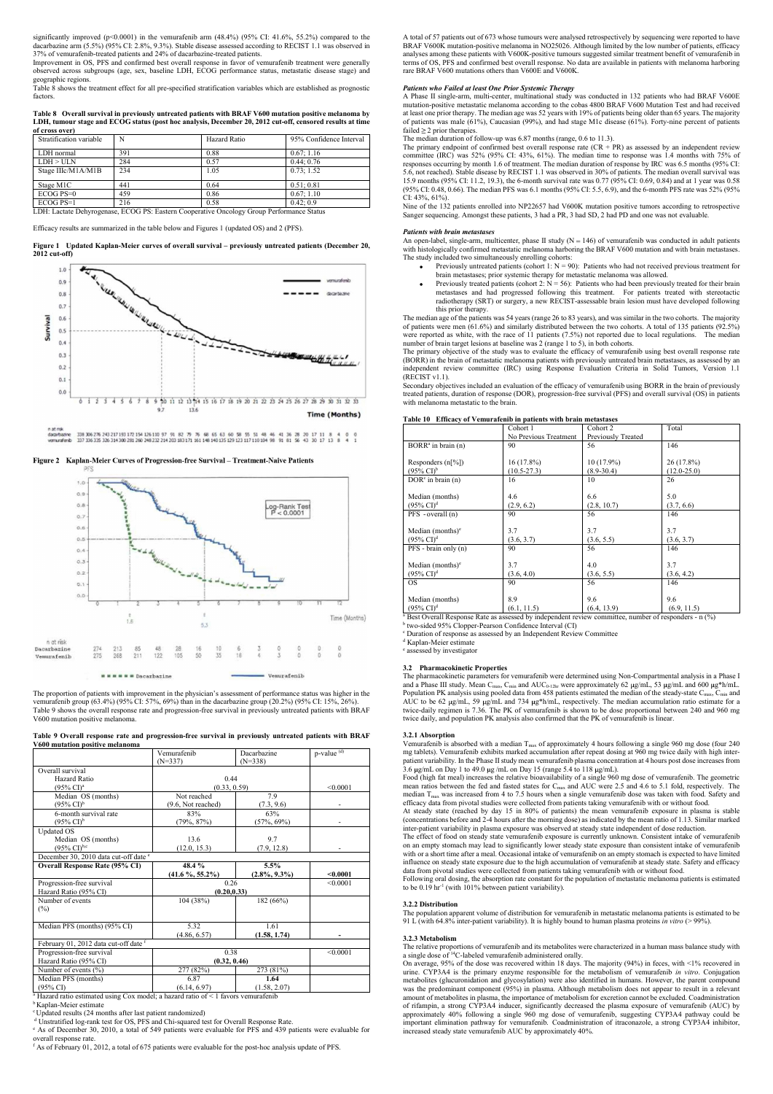significantly improved (p<0.0001) in the vemurafenib arm (48.4%) (95% CI: 41.6%, 55.2%) compared to the significantly improved (p<0.0001) in the vemurafenib arm  $(48.4%) (95% CI: 41.6%, 55.2%) compared to the  
dacarbarzine arm (5.5%) (95% CI: 2.8%, 9.3%). Stable disease assessed according to RECIST 1.1 was observed in  
37% of vennurafenib-treated patients and 24% of dacarbarzine-treated patients.  
Improvement in OS, PFS and confirmed best overall response in favor of vennurafenib treatment were generally  
geogenapiic regions.  
Table 8 shows the treatment effect for all pre-specified stratification variables which are established as prognostic  
halbe$ 37% of vemurafenib-treated patients and 24% of dacarbazine-treated patients.

LDH, tumour stage and ECOG status (post hoc analysis, December 20, 2012 cut-off, censored results at time of cross over)

| significantly improved ( $p<0.0001$ ) in the vemuratenib arm (48.4%) (95% CI: 41.6%, 55.2%) compared to the<br>A total of 57 patients out of 673 whose tumours were analysed retrospectively by sequencing were reported to have<br>dacarbazine arm (5.5%) (95% CI: 2.8%, 9.3%). Stable disease assessed according to RECIST 1.1 was observed in<br>BRAF V600K mutation-positive melanoma in NO25026. Although limited by the low number of patients, efficacy<br>37% of vemurafenib-treated patients and 24% of dacarbazine-treated patients.<br>analyses among these patients with V600K-positive tumours suggested similar treatment benefit of vemurafenib in<br>Improvement in OS, PFS and confirmed best overall response in favor of vemurafenib treatment were generally<br>terms of OS, PFS and confirmed best overall response. No data are available in patients with melanoma harboring<br>observed across subgroups (age, sex, baseline LDH, ECOG performance status, metastatic disease stage) and<br>rare BRAF V600 mutations others than V600E and V600K.<br>geographic regions.<br>Table 8 shows the treatment effect for all pre-specified stratification variables which are established as prognostic<br><b>Patients who Failed at least One Prior Systemic Therapy</b><br>factors.<br>at least one prior therapy. The median age was 52 years with 19% of patients being older than 65 years. The majority<br>Table 8 Overall survival in previously untreated patients with BRAF V600 mutation positive melanoma by<br>of patients was male $(61%)$ , Caucasian (99%), and had stage M1c disease $(61%)$ . Forty-nine percent of patients<br>LDH, tumour stage and ECOG status (post hoc analysis, December 20, 2012 cut-off, censored results at time<br>failed $\geq$ 2 prior therapies.<br>of cross over)<br>The median duration of follow-up was 6.87 months (range, 0.6 to 11.3).<br>$\mathbf N$<br>Stratification variable<br>Hazard Ratio<br>95% Confidence Interval<br>LDH normal<br>391<br>0.88<br>0.67:1.16<br>LDH > ULN<br>284<br>0.57<br>0.44:0.76<br>Stage IIIc/M1A/M1B<br>234<br>0.73:1.52<br>1.05<br>15.9 months (95% CI: 11.2, 19.3), the 6-month survival rate was 0.77 (95% CI: 0.69, 0.84) and at 1 year was 0.58<br>441<br>Stage M1C<br>0.64<br>0.51; 0.81<br>(95% CI: 0.48, 0.66). The median PFS was 6.1 months (95% CI: 5.5, 6.9), and the 6-month PFS rate was 52% (95%<br>ECOG PS=0<br>459<br>0.86<br>0.67; 1.10<br>CI: $43\%$ , $61\%$ ).<br>$ECOG$ $PS=1$<br>216<br>0.58<br>0.42:0.9<br>Nine of the 132 patients enrolled into NP22657 had V600K mutation positive tumors according to retrospective<br>LDH: Lactate Dehyrogenase, ECOG PS: Eastern Cooperative Oncology Group Performance Status |     |  |             |                                                                                                                  |
|----------------------------------------------------------------------------------------------------------------------------------------------------------------------------------------------------------------------------------------------------------------------------------------------------------------------------------------------------------------------------------------------------------------------------------------------------------------------------------------------------------------------------------------------------------------------------------------------------------------------------------------------------------------------------------------------------------------------------------------------------------------------------------------------------------------------------------------------------------------------------------------------------------------------------------------------------------------------------------------------------------------------------------------------------------------------------------------------------------------------------------------------------------------------------------------------------------------------------------------------------------------------------------------------------------------------------------------------------------------------------------------------------------------------------------------------------------------------------------------------------------------------------------------------------------------------------------------------------------------------------------------------------------------------------------------------------------------------------------------------------------------------------------------------------------------------------------------------------------------------------------------------------------------------------------------------------------------------------------------------------------------------------------------------------------------------------------------------------------------------------------------------------------------------------------------------------------------------------------------------------------------------------------------------------------------------------------------------------------------------------------------------------------------------------------------------------------------------------------------------------------------------------------------------------------------------------------------------------------------------------------------------------------------------------------------------------------------------------------------------------|-----|--|-------------|------------------------------------------------------------------------------------------------------------------|
|                                                                                                                                                                                                                                                                                                                                                                                                                                                                                                                                                                                                                                                                                                                                                                                                                                                                                                                                                                                                                                                                                                                                                                                                                                                                                                                                                                                                                                                                                                                                                                                                                                                                                                                                                                                                                                                                                                                                                                                                                                                                                                                                                                                                                                                                                                                                                                                                                                                                                                                                                                                                                                                                                                                                                    |     |  |             |                                                                                                                  |
|                                                                                                                                                                                                                                                                                                                                                                                                                                                                                                                                                                                                                                                                                                                                                                                                                                                                                                                                                                                                                                                                                                                                                                                                                                                                                                                                                                                                                                                                                                                                                                                                                                                                                                                                                                                                                                                                                                                                                                                                                                                                                                                                                                                                                                                                                                                                                                                                                                                                                                                                                                                                                                                                                                                                                    |     |  |             |                                                                                                                  |
|                                                                                                                                                                                                                                                                                                                                                                                                                                                                                                                                                                                                                                                                                                                                                                                                                                                                                                                                                                                                                                                                                                                                                                                                                                                                                                                                                                                                                                                                                                                                                                                                                                                                                                                                                                                                                                                                                                                                                                                                                                                                                                                                                                                                                                                                                                                                                                                                                                                                                                                                                                                                                                                                                                                                                    |     |  |             |                                                                                                                  |
|                                                                                                                                                                                                                                                                                                                                                                                                                                                                                                                                                                                                                                                                                                                                                                                                                                                                                                                                                                                                                                                                                                                                                                                                                                                                                                                                                                                                                                                                                                                                                                                                                                                                                                                                                                                                                                                                                                                                                                                                                                                                                                                                                                                                                                                                                                                                                                                                                                                                                                                                                                                                                                                                                                                                                    |     |  |             |                                                                                                                  |
|                                                                                                                                                                                                                                                                                                                                                                                                                                                                                                                                                                                                                                                                                                                                                                                                                                                                                                                                                                                                                                                                                                                                                                                                                                                                                                                                                                                                                                                                                                                                                                                                                                                                                                                                                                                                                                                                                                                                                                                                                                                                                                                                                                                                                                                                                                                                                                                                                                                                                                                                                                                                                                                                                                                                                    |     |  |             |                                                                                                                  |
|                                                                                                                                                                                                                                                                                                                                                                                                                                                                                                                                                                                                                                                                                                                                                                                                                                                                                                                                                                                                                                                                                                                                                                                                                                                                                                                                                                                                                                                                                                                                                                                                                                                                                                                                                                                                                                                                                                                                                                                                                                                                                                                                                                                                                                                                                                                                                                                                                                                                                                                                                                                                                                                                                                                                                    |     |  |             |                                                                                                                  |
|                                                                                                                                                                                                                                                                                                                                                                                                                                                                                                                                                                                                                                                                                                                                                                                                                                                                                                                                                                                                                                                                                                                                                                                                                                                                                                                                                                                                                                                                                                                                                                                                                                                                                                                                                                                                                                                                                                                                                                                                                                                                                                                                                                                                                                                                                                                                                                                                                                                                                                                                                                                                                                                                                                                                                    |     |  |             |                                                                                                                  |
|                                                                                                                                                                                                                                                                                                                                                                                                                                                                                                                                                                                                                                                                                                                                                                                                                                                                                                                                                                                                                                                                                                                                                                                                                                                                                                                                                                                                                                                                                                                                                                                                                                                                                                                                                                                                                                                                                                                                                                                                                                                                                                                                                                                                                                                                                                                                                                                                                                                                                                                                                                                                                                                                                                                                                    |     |  |             |                                                                                                                  |
|                                                                                                                                                                                                                                                                                                                                                                                                                                                                                                                                                                                                                                                                                                                                                                                                                                                                                                                                                                                                                                                                                                                                                                                                                                                                                                                                                                                                                                                                                                                                                                                                                                                                                                                                                                                                                                                                                                                                                                                                                                                                                                                                                                                                                                                                                                                                                                                                                                                                                                                                                                                                                                                                                                                                                    |     |  |             |                                                                                                                  |
|                                                                                                                                                                                                                                                                                                                                                                                                                                                                                                                                                                                                                                                                                                                                                                                                                                                                                                                                                                                                                                                                                                                                                                                                                                                                                                                                                                                                                                                                                                                                                                                                                                                                                                                                                                                                                                                                                                                                                                                                                                                                                                                                                                                                                                                                                                                                                                                                                                                                                                                                                                                                                                                                                                                                                    |     |  |             |                                                                                                                  |
|                                                                                                                                                                                                                                                                                                                                                                                                                                                                                                                                                                                                                                                                                                                                                                                                                                                                                                                                                                                                                                                                                                                                                                                                                                                                                                                                                                                                                                                                                                                                                                                                                                                                                                                                                                                                                                                                                                                                                                                                                                                                                                                                                                                                                                                                                                                                                                                                                                                                                                                                                                                                                                                                                                                                                    |     |  |             |                                                                                                                  |
|                                                                                                                                                                                                                                                                                                                                                                                                                                                                                                                                                                                                                                                                                                                                                                                                                                                                                                                                                                                                                                                                                                                                                                                                                                                                                                                                                                                                                                                                                                                                                                                                                                                                                                                                                                                                                                                                                                                                                                                                                                                                                                                                                                                                                                                                                                                                                                                                                                                                                                                                                                                                                                                                                                                                                    |     |  |             |                                                                                                                  |
|                                                                                                                                                                                                                                                                                                                                                                                                                                                                                                                                                                                                                                                                                                                                                                                                                                                                                                                                                                                                                                                                                                                                                                                                                                                                                                                                                                                                                                                                                                                                                                                                                                                                                                                                                                                                                                                                                                                                                                                                                                                                                                                                                                                                                                                                                                                                                                                                                                                                                                                                                                                                                                                                                                                                                    |     |  |             |                                                                                                                  |
|                                                                                                                                                                                                                                                                                                                                                                                                                                                                                                                                                                                                                                                                                                                                                                                                                                                                                                                                                                                                                                                                                                                                                                                                                                                                                                                                                                                                                                                                                                                                                                                                                                                                                                                                                                                                                                                                                                                                                                                                                                                                                                                                                                                                                                                                                                                                                                                                                                                                                                                                                                                                                                                                                                                                                    |     |  |             |                                                                                                                  |
|                                                                                                                                                                                                                                                                                                                                                                                                                                                                                                                                                                                                                                                                                                                                                                                                                                                                                                                                                                                                                                                                                                                                                                                                                                                                                                                                                                                                                                                                                                                                                                                                                                                                                                                                                                                                                                                                                                                                                                                                                                                                                                                                                                                                                                                                                                                                                                                                                                                                                                                                                                                                                                                                                                                                                    |     |  |             |                                                                                                                  |
|                                                                                                                                                                                                                                                                                                                                                                                                                                                                                                                                                                                                                                                                                                                                                                                                                                                                                                                                                                                                                                                                                                                                                                                                                                                                                                                                                                                                                                                                                                                                                                                                                                                                                                                                                                                                                                                                                                                                                                                                                                                                                                                                                                                                                                                                                                                                                                                                                                                                                                                                                                                                                                                                                                                                                    |     |  |             |                                                                                                                  |
|                                                                                                                                                                                                                                                                                                                                                                                                                                                                                                                                                                                                                                                                                                                                                                                                                                                                                                                                                                                                                                                                                                                                                                                                                                                                                                                                                                                                                                                                                                                                                                                                                                                                                                                                                                                                                                                                                                                                                                                                                                                                                                                                                                                                                                                                                                                                                                                                                                                                                                                                                                                                                                                                                                                                                    |     |  |             |                                                                                                                  |
|                                                                                                                                                                                                                                                                                                                                                                                                                                                                                                                                                                                                                                                                                                                                                                                                                                                                                                                                                                                                                                                                                                                                                                                                                                                                                                                                                                                                                                                                                                                                                                                                                                                                                                                                                                                                                                                                                                                                                                                                                                                                                                                                                                                                                                                                                                                                                                                                                                                                                                                                                                                                                                                                                                                                                    |     |  |             | A Phase II single-arm, multi-center, multinational study was conducted in 132 patients who had BRAF V600E        |
|                                                                                                                                                                                                                                                                                                                                                                                                                                                                                                                                                                                                                                                                                                                                                                                                                                                                                                                                                                                                                                                                                                                                                                                                                                                                                                                                                                                                                                                                                                                                                                                                                                                                                                                                                                                                                                                                                                                                                                                                                                                                                                                                                                                                                                                                                                                                                                                                                                                                                                                                                                                                                                                                                                                                                    |     |  |             | mutation-positive metastatic melanoma according to the cobas 4800 BRAF V600 Mutation Test and had received       |
|                                                                                                                                                                                                                                                                                                                                                                                                                                                                                                                                                                                                                                                                                                                                                                                                                                                                                                                                                                                                                                                                                                                                                                                                                                                                                                                                                                                                                                                                                                                                                                                                                                                                                                                                                                                                                                                                                                                                                                                                                                                                                                                                                                                                                                                                                                                                                                                                                                                                                                                                                                                                                                                                                                                                                    |     |  |             |                                                                                                                  |
|                                                                                                                                                                                                                                                                                                                                                                                                                                                                                                                                                                                                                                                                                                                                                                                                                                                                                                                                                                                                                                                                                                                                                                                                                                                                                                                                                                                                                                                                                                                                                                                                                                                                                                                                                                                                                                                                                                                                                                                                                                                                                                                                                                                                                                                                                                                                                                                                                                                                                                                                                                                                                                                                                                                                                    |     |  |             |                                                                                                                  |
|                                                                                                                                                                                                                                                                                                                                                                                                                                                                                                                                                                                                                                                                                                                                                                                                                                                                                                                                                                                                                                                                                                                                                                                                                                                                                                                                                                                                                                                                                                                                                                                                                                                                                                                                                                                                                                                                                                                                                                                                                                                                                                                                                                                                                                                                                                                                                                                                                                                                                                                                                                                                                                                                                                                                                    |     |  |             |                                                                                                                  |
|                                                                                                                                                                                                                                                                                                                                                                                                                                                                                                                                                                                                                                                                                                                                                                                                                                                                                                                                                                                                                                                                                                                                                                                                                                                                                                                                                                                                                                                                                                                                                                                                                                                                                                                                                                                                                                                                                                                                                                                                                                                                                                                                                                                                                                                                                                                                                                                                                                                                                                                                                                                                                                                                                                                                                    |     |  |             | The primary endpoint of confirmed best overall response rate $(CR + PR)$ as assessed by an independent review    |
|                                                                                                                                                                                                                                                                                                                                                                                                                                                                                                                                                                                                                                                                                                                                                                                                                                                                                                                                                                                                                                                                                                                                                                                                                                                                                                                                                                                                                                                                                                                                                                                                                                                                                                                                                                                                                                                                                                                                                                                                                                                                                                                                                                                                                                                                                                                                                                                                                                                                                                                                                                                                                                                                                                                                                    |     |  |             | committee (IRC) was 52% (95% CI: 43%, 61%). The median time to response was 1.4 months with 75% of               |
|                                                                                                                                                                                                                                                                                                                                                                                                                                                                                                                                                                                                                                                                                                                                                                                                                                                                                                                                                                                                                                                                                                                                                                                                                                                                                                                                                                                                                                                                                                                                                                                                                                                                                                                                                                                                                                                                                                                                                                                                                                                                                                                                                                                                                                                                                                                                                                                                                                                                                                                                                                                                                                                                                                                                                    |     |  |             | responses occurring by month 1.6 of treatment. The median duration of response by IRC was 6.5 months (95% CI:    |
|                                                                                                                                                                                                                                                                                                                                                                                                                                                                                                                                                                                                                                                                                                                                                                                                                                                                                                                                                                                                                                                                                                                                                                                                                                                                                                                                                                                                                                                                                                                                                                                                                                                                                                                                                                                                                                                                                                                                                                                                                                                                                                                                                                                                                                                                                                                                                                                                                                                                                                                                                                                                                                                                                                                                                    |     |  |             | 5.6, not reached). Stable disease by RECIST 1.1 was observed in 30% of patients. The median overall survival was |
|                                                                                                                                                                                                                                                                                                                                                                                                                                                                                                                                                                                                                                                                                                                                                                                                                                                                                                                                                                                                                                                                                                                                                                                                                                                                                                                                                                                                                                                                                                                                                                                                                                                                                                                                                                                                                                                                                                                                                                                                                                                                                                                                                                                                                                                                                                                                                                                                                                                                                                                                                                                                                                                                                                                                                    |     |  |             |                                                                                                                  |
|                                                                                                                                                                                                                                                                                                                                                                                                                                                                                                                                                                                                                                                                                                                                                                                                                                                                                                                                                                                                                                                                                                                                                                                                                                                                                                                                                                                                                                                                                                                                                                                                                                                                                                                                                                                                                                                                                                                                                                                                                                                                                                                                                                                                                                                                                                                                                                                                                                                                                                                                                                                                                                                                                                                                                    |     |  |             |                                                                                                                  |
|                                                                                                                                                                                                                                                                                                                                                                                                                                                                                                                                                                                                                                                                                                                                                                                                                                                                                                                                                                                                                                                                                                                                                                                                                                                                                                                                                                                                                                                                                                                                                                                                                                                                                                                                                                                                                                                                                                                                                                                                                                                                                                                                                                                                                                                                                                                                                                                                                                                                                                                                                                                                                                                                                                                                                    |     |  |             |                                                                                                                  |
|                                                                                                                                                                                                                                                                                                                                                                                                                                                                                                                                                                                                                                                                                                                                                                                                                                                                                                                                                                                                                                                                                                                                                                                                                                                                                                                                                                                                                                                                                                                                                                                                                                                                                                                                                                                                                                                                                                                                                                                                                                                                                                                                                                                                                                                                                                                                                                                                                                                                                                                                                                                                                                                                                                                                                    |     |  |             | Sanger sequencing. Amongst these patients, 3 had a PR, 3 had SD, 2 had PD and one was not evaluable.             |
|                                                                                                                                                                                                                                                                                                                                                                                                                                                                                                                                                                                                                                                                                                                                                                                                                                                                                                                                                                                                                                                                                                                                                                                                                                                                                                                                                                                                                                                                                                                                                                                                                                                                                                                                                                                                                                                                                                                                                                                                                                                                                                                                                                                                                                                                                                                                                                                                                                                                                                                                                                                                                                                                                                                                                    |     |  |             | <b>Patients with brain metastases</b>                                                                            |
|                                                                                                                                                                                                                                                                                                                                                                                                                                                                                                                                                                                                                                                                                                                                                                                                                                                                                                                                                                                                                                                                                                                                                                                                                                                                                                                                                                                                                                                                                                                                                                                                                                                                                                                                                                                                                                                                                                                                                                                                                                                                                                                                                                                                                                                                                                                                                                                                                                                                                                                                                                                                                                                                                                                                                    |     |  |             |                                                                                                                  |
| Efficacy results are summarized in the table below and Figures 1 (updated OS) and 2 (PFS).                                                                                                                                                                                                                                                                                                                                                                                                                                                                                                                                                                                                                                                                                                                                                                                                                                                                                                                                                                                                                                                                                                                                                                                                                                                                                                                                                                                                                                                                                                                                                                                                                                                                                                                                                                                                                                                                                                                                                                                                                                                                                                                                                                                                                                                                                                                                                                                                                                                                                                                                                                                                                                                         |     |  |             |                                                                                                                  |
| An open-label, single-arm, multicenter, phase II study $(N = 146)$ of vemurate nib was conducted in adult patients                                                                                                                                                                                                                                                                                                                                                                                                                                                                                                                                                                                                                                                                                                                                                                                                                                                                                                                                                                                                                                                                                                                                                                                                                                                                                                                                                                                                                                                                                                                                                                                                                                                                                                                                                                                                                                                                                                                                                                                                                                                                                                                                                                                                                                                                                                                                                                                                                                                                                                                                                                                                                                 |     |  |             | The study included two simultaneously enrolling cohorts:                                                         |
| Figure 1 Updated Kaplan-Meier curves of overall survival – previously untreated patients (December 20,<br>with histologically confirmed metastatic melanoma harboring the BRAF V600 mutation and with brain metastases.<br>$2012$ cut-off)                                                                                                                                                                                                                                                                                                                                                                                                                                                                                                                                                                                                                                                                                                                                                                                                                                                                                                                                                                                                                                                                                                                                                                                                                                                                                                                                                                                                                                                                                                                                                                                                                                                                                                                                                                                                                                                                                                                                                                                                                                                                                                                                                                                                                                                                                                                                                                                                                                                                                                         |     |  |             | • Previously untreated patients (cohort 1: $N = 90$ ): Patients who had not received previous treatment for      |
|                                                                                                                                                                                                                                                                                                                                                                                                                                                                                                                                                                                                                                                                                                                                                                                                                                                                                                                                                                                                                                                                                                                                                                                                                                                                                                                                                                                                                                                                                                                                                                                                                                                                                                                                                                                                                                                                                                                                                                                                                                                                                                                                                                                                                                                                                                                                                                                                                                                                                                                                                                                                                                                                                                                                                    |     |  |             |                                                                                                                  |
| 1.0<br>brain metastases; prior systemic therapy for metastatic melanoma was allowed.                                                                                                                                                                                                                                                                                                                                                                                                                                                                                                                                                                                                                                                                                                                                                                                                                                                                                                                                                                                                                                                                                                                                                                                                                                                                                                                                                                                                                                                                                                                                                                                                                                                                                                                                                                                                                                                                                                                                                                                                                                                                                                                                                                                                                                                                                                                                                                                                                                                                                                                                                                                                                                                               |     |  |             | $\bullet$                                                                                                        |
| vernurafenib<br>0.9<br>Previously treated patients (cohort 2: $N = 56$ ): Patients who had been previously treated for their brain                                                                                                                                                                                                                                                                                                                                                                                                                                                                                                                                                                                                                                                                                                                                                                                                                                                                                                                                                                                                                                                                                                                                                                                                                                                                                                                                                                                                                                                                                                                                                                                                                                                                                                                                                                                                                                                                                                                                                                                                                                                                                                                                                                                                                                                                                                                                                                                                                                                                                                                                                                                                                 | 0.8 |  | dage byzine |                                                                                                                  |
| metastases and had progressed following this treatment. For patients treated with stereotactic                                                                                                                                                                                                                                                                                                                                                                                                                                                                                                                                                                                                                                                                                                                                                                                                                                                                                                                                                                                                                                                                                                                                                                                                                                                                                                                                                                                                                                                                                                                                                                                                                                                                                                                                                                                                                                                                                                                                                                                                                                                                                                                                                                                                                                                                                                                                                                                                                                                                                                                                                                                                                                                     | 0.7 |  |             |                                                                                                                  |
| <b>CALLANDAN ARIA</b><br>radiotherapy (SRT) or surgery, a new RECIST-assessable brain lesion must have developed following                                                                                                                                                                                                                                                                                                                                                                                                                                                                                                                                                                                                                                                                                                                                                                                                                                                                                                                                                                                                                                                                                                                                                                                                                                                                                                                                                                                                                                                                                                                                                                                                                                                                                                                                                                                                                                                                                                                                                                                                                                                                                                                                                                                                                                                                                                                                                                                                                                                                                                                                                                                                                         |     |  |             | this prior therapy.                                                                                              |

(57%, 69%) - (concentrations before and 2-4 hours after the morning dose) as indicated by the mean ratio of 1.13. Similar marked (7.9, 12.8) - on an empty stomach may lead to significantly lower steady state exposure than consistent intake of vemurafenib  $5.5\%$   $\qquad$   $\qquad$   $\qquad$   $\qquad$   $\qquad$   $\qquad$   $\qquad$   $\qquad$   $\qquad$   $\qquad$   $\qquad$   $\qquad$   $\qquad$   $\qquad$   $\qquad$   $\qquad$   $\qquad$   $\qquad$   $\qquad$   $\qquad$   $\qquad$   $\qquad$   $\qquad$   $\qquad$   $\qquad$   $\qquad$   $\qquad$   $\qquad$   $\qquad$   $\qquad$   $\qquad$   $\qquad$   $\qquad$   $\qquad$   $\qquad$   $\q$  $(2.8\%, 9.3\%)$  <0.0001 data from pivotal studies were collected from patients taking vemurafenib with or without food. <0.0001 to be 0.19 hr-1 (with 101% between patient variability). (1986.Cl)<sup>2</sup> **(1986.Cl)<sup>2</sup>** (1986.Cl)<sup>2</sup> (1986.Cl)<sup>2</sup> (1986.Cl)<sup>2</sup> (1986.Cl)<sup>2</sup> (1986.Cl)<sup>2</sup> (1986.Cl)<sup>2</sup> (1986.Cl)<sup>2</sup> (1986.Cl)<sup>2</sup> (1986.Cl)<sup>2</sup> (1986.Cl)<sup>2</sup> (1986.Cl)<sup>2</sup> (1986.Cl)<sup>2</sup> (1986.Cl)<sup>2</sup> (1986.Cl)<sup>2</sup> (1986.Cl)<sup>2</sup> inter-patient variability in plasma exposure was observed at steady state independent of dose reduction. The effect of food on steady state vemurafenib exposure is currently unknown. Consistent intake of vemurafenib Past Overall Response Rate os assessed by independent review committee, number of responders - n (%)<br>
Powo-sided 9.9% Clopper-Pearson Confidence latteral (CI)<br>
Duration of response a sassessed by an Independent Review Com influence on steady state exposure due to the high accumulation of vemurafenib at steady state. Safety and efficacy Following oral dosing, the absorption rate constant for the population of metastatic melanoma patients is estimated 3.2 **Pharmacelsine Properties**<br>The pharmaceline Properties<br>The pharmaceline Properties (or vernural critic were determined using Non-Compartmental analysis in a lange III study. Mean Class III study. Mean Class III study AUC to be 62 ug/mL, 59 µeyn.L and 734 µey<sup>h</sup>winL, respectively. The median accumulation ratio existed and y accumulation and existed and y accumulation and twice daily, and population PK analysis also confirmed that the P mean ratios between the fed and fisted states for  $C_{\infty}$  and AUC were 2.5 and 4.6 to 5.1 fold, respectively. The differency data from pairsine liking were collected from pairsine liking were molecular for the officer du

<sup>a</sup> Hazard ratio estimated using Cox model; a hazard ratio of < 1 favors vemurafenib

<sup>b</sup> Kaplan-Meier estimate







A total of 57 patients out of 673 whose tumours were analysed retrospectively by sequencing were reported to have BRAF V600K mutation-positive melanoma in NO25026. Although limited by the low number of patients, efficacy analyses among these patients with V600K-positive tumours suggested similar treatment benefit of vemurafenib in A total of 57 patients out of 673 whose tumours were analysed retrospectively by sequencing were reported to have BRAF V600K mutation-positive melanoma in NO25026. Although limited by the low number of patients, efficacy a terms of OS, PFS and confirmed best overall response. No data are available in patients with melanoma harboring rare BRAF V600 mutations others than V600E and V600K. A total of 57 patients out of 673 whose tumours were analysed retrospectively by sequencing were reported to have BRAF V600K mutation-positive melanoma in NO25026. Although limited by the low number of patients, efficacy



V600 mutation positive melanoma

| n at risk<br>Dacarbazine<br>Vemurafenib                                                                                                                                                                                                                                                                                                                                             | 274<br>275 | 213<br>268 | 85<br>211              | 122 | 28<br>105                | 16<br>50              | 10<br>35 | 6<br>16              |                          | 0<br>$\overline{3}$   |             | ٥<br>b. | o<br>$\ddot{\text{o}}$ | 0<br>$\Omega$    | two-sided 7370 Cropper-I carson Commentee men v<br><sup>c</sup> Duration of response as assessed by an Independen<br><sup>d</sup> Kaplan-Meier estimate<br><sup>e</sup> assessed by investigator                                |
|-------------------------------------------------------------------------------------------------------------------------------------------------------------------------------------------------------------------------------------------------------------------------------------------------------------------------------------------------------------------------------------|------------|------------|------------------------|-----|--------------------------|-----------------------|----------|----------------------|--------------------------|-----------------------|-------------|---------|------------------------|------------------|---------------------------------------------------------------------------------------------------------------------------------------------------------------------------------------------------------------------------------|
|                                                                                                                                                                                                                                                                                                                                                                                     |            |            | <b>*</b> # Dacarbazine |     |                          |                       |          |                      |                          |                       | Vemurafenib |         |                        |                  | 3.2 Pharmacokinetic Properties<br>The pharmacokinetic parameters for vemurafenib we<br>and a Phase III study. Mean C <sub>max</sub> , C <sub>min</sub> and AUC <sub>0-12h</sub>                                                 |
| The proportion of patients with improvement in the physician's assessment of performance status was higher in the<br>vemurafenib group (63.4%) (95% CI: 57%, 69%) than in the dacarbazine group (20.2%) (95% CI: 15%, 26%).<br>Table 9 shows the overall response rate and progression-free survival in previously untreated patients with BRAF<br>V600 mutation positive melanoma. |            |            |                        |     |                          |                       |          |                      |                          |                       |             |         |                        |                  | Population PK analysis using pooled data from 458 p<br>AUC to be 62 $\mu$ g/mL, 59 $\mu$ g/mL and 734 $\mu$ g*h/mL<br>twice-daily regimen is 7.36. The PK of vemurafeni<br>twice daily, and population PK analysis also confirm |
| Table 9 Overall response rate and progression-free survival in previously untreated patients with BRAF<br>V600 mutation positive melanoma                                                                                                                                                                                                                                           |            |            |                        |     |                          |                       |          |                      |                          |                       |             |         |                        |                  | 3.2.1 Absorption<br>Vemurafenib is absorbed with a median $T_{\text{max}}$ of app                                                                                                                                               |
|                                                                                                                                                                                                                                                                                                                                                                                     |            |            |                        |     | Vemurafenib<br>$(N=337)$ |                       |          |                      | Dacarbazine<br>$(N=338)$ |                       |             |         |                        | $p$ -value $(d)$ | mg tablets). Vemurafenib exhibits marked accumula<br>patient variability. In the Phase II study mean vemura                                                                                                                     |
| Overall survival<br>Hazard Ratio<br>$(95\% \text{ CI})^{\text{a}}$                                                                                                                                                                                                                                                                                                                  |            |            |                        |     |                          |                       |          | 0.44<br>(0.33, 0.59) |                          |                       |             |         |                        | < 0.0001         | 3.6 $\mu$ g/mL on Day 1 to 49.0 $\mu$ g/mL on Day 15 (rang<br>Food (high fat meal) increases the relative bioavaila<br>mean ratios between the fed and fasted states for C                                                      |
| Median OS (months)<br>$(95\% \text{ C}I)^{b}$                                                                                                                                                                                                                                                                                                                                       |            |            |                        |     | (9.6, Not reached)       | Not reached           |          |                      |                          | 7.9<br>(7.3, 9.6)     |             |         |                        |                  | median $T_{\text{max}}$ was increased from 4 to 7.5 hours whe<br>efficacy data from pivotal studies were collected from                                                                                                         |
| 6-month survival rate<br>$(95\% \text{ Cl})^b$                                                                                                                                                                                                                                                                                                                                      |            |            |                        |     |                          | 83%<br>$(79\%, 87\%)$ |          |                      |                          | 63%<br>$(57\%, 69\%)$ |             |         |                        |                  | At steady state (reached by day 15 in 80% of pa<br>(concentrations before and 2-4 hours after the morning                                                                                                                       |
| Updated $\overline{OS}$<br>Median OS (months)<br>$(95\% \text{ Cl})^{\text{b,c}}$                                                                                                                                                                                                                                                                                                   |            |            |                        |     |                          | 13.6<br>(12.0, 15.3)  |          |                      |                          | 9.7<br>(7.9, 12.8)    |             |         |                        | $\sim$           | inter-patient variability in plasma exposure was obse<br>The effect of food on steady state vemurafenib expo<br>on an empty stomach may lead to significantly lowe                                                              |
| December 30, 2010 data cut-off date <sup>e</sup>                                                                                                                                                                                                                                                                                                                                    |            |            |                        |     |                          |                       |          |                      |                          |                       |             |         |                        |                  | with or a short time after a meal. Occasional intake of<br>influence on steady state exposure due to the high ac                                                                                                                |
| <b>Overall Response Rate (95% CI)</b>                                                                                                                                                                                                                                                                                                                                               |            |            |                        |     | $(41.6\%, 55.2\%)$       | 48.4%                 |          |                      | $(2.8\%, 9.3\%)$         | 5.5%                  |             |         |                        | < 0.0001         | data from pivotal studies were collected from patient<br>Following oral dosing, the absorption rate constant f                                                                                                                  |
| Progression-free survival<br>Hazard Ratio (95% CI)                                                                                                                                                                                                                                                                                                                                  |            |            |                        |     |                          |                       |          | 0.26<br>(0.20, 0.33) |                          |                       |             |         |                        | < 0.0001         | to be $0.19 \text{ hr}^{-1}$ (with $101\%$ between patient variabilit                                                                                                                                                           |
| Number of events<br>(%)                                                                                                                                                                                                                                                                                                                                                             |            |            |                        |     |                          | 104 (38%)             |          |                      |                          | 182 (66%)             |             |         |                        |                  | 3.2.2 Distribution<br>The population apparent volume of distribution for v                                                                                                                                                      |
| Median PFS (months) (95% CI)                                                                                                                                                                                                                                                                                                                                                        |            |            |                        |     |                          | 5.32<br>(4.86, 6.57)  |          |                      |                          | 1.61<br>(1.58, 1.74)  |             |         |                        |                  | 91 L (with 64.8% inter-patient variability). It is high                                                                                                                                                                         |
| February 01, 2012 data cut-off date f                                                                                                                                                                                                                                                                                                                                               |            |            |                        |     |                          |                       |          |                      |                          |                       |             |         |                        |                  | 3.2.3 Metabolism<br>The relative proportions of vemurafenib and its meta                                                                                                                                                        |
| Progression-free survival<br>Hazard Ratio (95% CI)                                                                                                                                                                                                                                                                                                                                  |            |            |                        |     |                          |                       |          | 0.38<br>(0.32, 0.46) |                          |                       |             |         |                        | < 0.0001         | a single dose of ${}^{14}C$ -labeled vemurafenib administer<br>On average, 95% of the dose was recovered within                                                                                                                 |
| Number of events (%)                                                                                                                                                                                                                                                                                                                                                                |            |            |                        |     |                          | 277 (82%)             |          |                      |                          | 273 (81%)             |             |         |                        |                  | urine. CYP3A4 is the primary enzyme responsibl                                                                                                                                                                                  |
| Median PFS (months)<br>$(95\% \text{ CI})$                                                                                                                                                                                                                                                                                                                                          |            |            |                        |     |                          | 6.87<br>(6.14, 6.97)  |          |                      |                          | 1.64<br>(1.58, 2.07)  |             |         |                        |                  | metabolites (glucuronidation and glycosylation) we<br>was the predominant component (95%) in plasma.                                                                                                                            |

- Previously untreated patients (cohort  $1: N = 90$ ): Patients who had not received previous treatment for brain metastases; prior systemic therapy for metastatic melanoma was allowed.
- 

<sup>c</sup> Updated results (24 months after last patient randomized)

<sup>d</sup> Unstratified log-rank test for OS, PFS and Chi-squared test for Overall Response Rate.

<sup>e</sup> As of December 30, 2010, a total of 549 patients were evaluable for PFS and 439 patients were evaluable for overall response rate.

<sup>f</sup> As of February 01, 2012, a total of 675 patients were evaluable for the post-hoc analysis update of PFS.

### Patients who Failed at least One Prior Systemic Therapy

The proportion of patients with improvement in the physician's assessment of performance status was higher in the<br>
Population PK analysis using pooled data from 458 patients estimated the median of the steady-state C<sub>max</sub>, and a Phase III study. Mean C<sub>max</sub>, C<sub>min</sub> and AUC<sub>0-12hr</sub> were approximately 62  $\mu$ g/mL, 53  $\mu$ g/mL and 600  $\mu$ g\*h/mL. AUC to be 62  $\mu$ g/mL, 59  $\mu$ g/mL and 734  $\mu$ g\*h/mL, respectively. The median accumulation ratio estimate for a twice-daily regimen is 7.36. The PK of vemurafenib is shown to be dose proportional between 240 and 960 mg twice daily, and population PK analysis also confirmed that the PK of vemurafenib is linear.

p-value <sup>(d)</sup> mg tablets). Vemurafenib exhibits marked accumulation after repeat dosing at 960 mg twice daily with high inter-Vemurafenib is absorbed with a median Tmax of approximately 4 hours following a single 960 mg dose (four 240 patient variability. In the Phase II study mean vemurafenib plasma concentration at 4 hours post dose increases from 3.6  $\mu$ g/mL on Day 1 to 49.0  $\mu$ g/mL on Day 15 (range 5.4 to 118  $\mu$ g/mL).<br>Food (high fat meal) increases the relative bioavailability of a single 960 mg dose of vemurafenib. The geometric

mean ratios between the fed and fasted states for C<sub>max</sub> and AUC were 2.5 and 4.6 to 5.1 fold, respectively. The 7.9 median T<sub>max</sub> was increased from 4 to 7.5 hours when a single vemurafenib dose was taken with food. Safety and (7.3, 9.6) - efficacy data from pivotal studies were collected from patients taking vemurafenib with or without food.

committee (IRC) was 52% (95% CI: 43%, 61%). The median time to response was 1.4 months with 75% of LDH > ULN 284 0.57 0.44; 0.76 responses occurring by month 1.6 of treatment. The median duration of response by IRC was 6.5 months (95% CI: The primary endpoint of confirmed best overall response rate  $(CR + PR)$  as assessed by an independent review A total of 57 patients out of 673 whose tumours were analysed retrospectively by sequencing were reported to have BRAF V600K mutation-positive melanoma in NO25026. Although limited by the low number of patients, efficacy 5.6, not reached). Stable disease by RECIST 1.1 was observed in 30% of patients. The median overall survival was 15.9 months (95% CI: 11.2, 19.3), the 6-month survival rate was 0.77 (95% CI: 0.69, 0.84) and at 1 year was 0.58 (95% CI: 0.48, 0.66). The median PFS was 6.1 months (95% CI: 5.5, 6.9), and the 6-month PFS rate was 52% (95% CI: 43%, 61%). W. multiten-positive melanom in NG2502.6. Altiong inmited by the tow number of patients, efficies patients with V600K-positive tumous suggested similar treatment benefit of venurafemb in PS, PIS and confirmed best overall metastases and had to the metastases and NoW-Foositye tuments suggested smiller intention of Venuarian in Venture and V600E.<br>Specifical teach of the profile in patients with melhanona harboring V600 mutations others than V s, PPs and continue best overall response. To dail are available in patients with meianoma harroring<br>V600 mutations others than V600E and V600K.<br>
So for the Falled at least One Prior Systemic Therapy<br>
single-arm, multi-ce **Patients with Failed at least One Prior Systemic Therapy<br>
A Phase 11 single-arm, multi-center, multimational study was conducted in 132 patients who had BRAF V600E<br>
A Phase 11 single-arm, multi-center, multimational stud** A Pinale it ample-ram, multi-center, multimations is that with the sole and the report of the race prior there are the report of the race of the race of the race of the race of the race of the race of the race of the race of patients was mink (s) two smalled two smalled brain of the bracket of the bracket of the bracket and decoration of follow-up was 6.87 months (range 0.6 to 11.3). For example the median duration for following the sole o The median duration of follow-up was 6.8 months (mape, 0.0 to 11.3).<br>The primary endoptin of confirmed best overall response rate (CR + PR) as assessed by an independent revice<br>miniter (IRC) was 52% (93% Ci 4.3%, 61%). Th

### Patients with brain metastases

 $\leq 0.0001$  a single dose of <sup>14</sup>C-labeled vemurafenib administered orally. The relative proportions of vemurafenib and its metabolites were characterized in a human mass balance study with

1.64 metabolites (glucuronidation and glycosylation) were also identified in humans. However, the parent compound On average, 95% of the dose was recovered within 18 days. The majority (94%) in feces, with <1% recovered in urine. CYP3A4 is the primary enzyme responsible for the metabolism of vemurafenib in vitro. Conjugation was the predominant component (95%) in plasma. Although metabolism does not appear to result in a relevant amount of metabolites in plasma, the importance of metabolism for excretion cannot be excluded. Coadministration of rifampin, a strong CYP3A4 inducer, significantly decreased the plasma exposure of vemurafenib (AUC) by approximately 40% following a single 960 mg dose of vemurafenib, suggesting CYP3A4 pathway could be important elimination pathway for vemurafenib. Coadministration of itraconazole, a strong CYP3A4 inhibitor, increased steady state vemurafenib AUC by approximately 40%.

| Table 10 Efficacy of Vemurafenib in patients with brain metastases |  |
|--------------------------------------------------------------------|--|
|--------------------------------------------------------------------|--|

| 15.9 months (95% CI: 11.2, 19.3), the 6-month survival rate was 0.77 (95% CI: 0.69, 0.84) and at 1 year was 0.58<br>(95% CI: 0.48, 0.66). The median PFS was 6.1 months (95% CI: 5.5, 6.9), and the 6-month PFS rate was 52% (95%                                                                                                                                                                                                                                                                                                                                                                                                                                                                                                                                                                                                                                                                                                                                                                                                                                                                                                                                                                                                                                                                                                                                                                                                                                                                                                                              |                                                                                                                                                                                                                                                                                                           |                                |                                 |  |
|----------------------------------------------------------------------------------------------------------------------------------------------------------------------------------------------------------------------------------------------------------------------------------------------------------------------------------------------------------------------------------------------------------------------------------------------------------------------------------------------------------------------------------------------------------------------------------------------------------------------------------------------------------------------------------------------------------------------------------------------------------------------------------------------------------------------------------------------------------------------------------------------------------------------------------------------------------------------------------------------------------------------------------------------------------------------------------------------------------------------------------------------------------------------------------------------------------------------------------------------------------------------------------------------------------------------------------------------------------------------------------------------------------------------------------------------------------------------------------------------------------------------------------------------------------------|-----------------------------------------------------------------------------------------------------------------------------------------------------------------------------------------------------------------------------------------------------------------------------------------------------------|--------------------------------|---------------------------------|--|
| CI: 43%, 61%).<br>Nine of the 132 patients enrolled into NP22657 had V600K mutation positive tumors according to retrospective                                                                                                                                                                                                                                                                                                                                                                                                                                                                                                                                                                                                                                                                                                                                                                                                                                                                                                                                                                                                                                                                                                                                                                                                                                                                                                                                                                                                                                 |                                                                                                                                                                                                                                                                                                           |                                |                                 |  |
| Sanger sequencing. Amongst these patients, 3 had a PR, 3 had SD, 2 had PD and one was not evaluable.                                                                                                                                                                                                                                                                                                                                                                                                                                                                                                                                                                                                                                                                                                                                                                                                                                                                                                                                                                                                                                                                                                                                                                                                                                                                                                                                                                                                                                                           |                                                                                                                                                                                                                                                                                                           |                                |                                 |  |
| <b>Patients with brain metastases</b><br>An open-label, single-arm, multicenter, phase II study $(N = 146)$ of vemurafenib was conducted in adult patients<br>with histologically confirmed metastatic melanoma harboring the BRAF V600 mutation and with brain metastases.<br>The study included two simultaneously enrolling cohorts:<br>$\bullet$<br>$\bullet$                                                                                                                                                                                                                                                                                                                                                                                                                                                                                                                                                                                                                                                                                                                                                                                                                                                                                                                                                                                                                                                                                                                                                                                              | Previously untreated patients (cohort 1: $N = 90$ ): Patients who had not received previous treatment for<br>brain metastases; prior systemic therapy for metastatic melanoma was allowed.<br>Previously treated patients (cohort 2: $N = 56$ ): Patients who had been previously treated for their brain |                                |                                 |  |
| this prior therapy.<br>The median age of the patients was 54 years (range 26 to 83 years), and was similar in the two cohorts. The majority<br>of patients were men (61.6%) and similarly distributed between the two cohorts. A total of 135 patients (92.5%)<br>were reported as white, with the race of 11 patients (7.5%) not reported due to local regulations. The median<br>number of brain target lesions at baseline was 2 (range 1 to 5), in both cohorts.<br>The primary objective of the study was to evaluate the efficacy of vemurafenib using best overall response rate                                                                                                                                                                                                                                                                                                                                                                                                                                                                                                                                                                                                                                                                                                                                                                                                                                                                                                                                                                        | metastases and had progressed following this treatment. For patients treated with stereotactic<br>radiotherapy (SRT) or surgery, a new RECIST-assessable brain lesion must have developed following                                                                                                       |                                |                                 |  |
| (BORR) in the brain of metastatic melanoma patients with previously untreated brain metastases, as assessed by an<br>independent review committee (IRC) using Response Evaluation Criteria in Solid Tumors, Version 1.1<br>(RECIST v1.1).<br>Secondary objectives included an evaluation of the efficacy of vemurafenib using BORR in the brain of previously<br>treated patients, duration of response (DOR), progression-free survival (PFS) and overall survival (OS) in patients<br>with melanoma metastatic to the brain.                                                                                                                                                                                                                                                                                                                                                                                                                                                                                                                                                                                                                                                                                                                                                                                                                                                                                                                                                                                                                                 |                                                                                                                                                                                                                                                                                                           |                                |                                 |  |
| Table 10 Efficacy of Vemurafenib in patients with brain metastases                                                                                                                                                                                                                                                                                                                                                                                                                                                                                                                                                                                                                                                                                                                                                                                                                                                                                                                                                                                                                                                                                                                                                                                                                                                                                                                                                                                                                                                                                             |                                                                                                                                                                                                                                                                                                           |                                |                                 |  |
|                                                                                                                                                                                                                                                                                                                                                                                                                                                                                                                                                                                                                                                                                                                                                                                                                                                                                                                                                                                                                                                                                                                                                                                                                                                                                                                                                                                                                                                                                                                                                                | Cohort 1<br>No Previous Treatment                                                                                                                                                                                                                                                                         | Cohort 2<br>Previously Treated | Total                           |  |
| BORR <sup>a</sup> in brain $(n)$                                                                                                                                                                                                                                                                                                                                                                                                                                                                                                                                                                                                                                                                                                                                                                                                                                                                                                                                                                                                                                                                                                                                                                                                                                                                                                                                                                                                                                                                                                                               | 90                                                                                                                                                                                                                                                                                                        | 56                             | 146                             |  |
| Responders $(n[\%])$<br>$(95\% \text{ C}I)^{b}$                                                                                                                                                                                                                                                                                                                                                                                                                                                                                                                                                                                                                                                                                                                                                                                                                                                                                                                                                                                                                                                                                                                                                                                                                                                                                                                                                                                                                                                                                                                | $16(17.8\%)$<br>$(10.5 - 27.3)$                                                                                                                                                                                                                                                                           | $10(17.9\%)$<br>$(8.9 - 30.4)$ | $26(17.8\%)$<br>$(12.0 - 25.0)$ |  |
| DOR $\circ$ in brain (n)                                                                                                                                                                                                                                                                                                                                                                                                                                                                                                                                                                                                                                                                                                                                                                                                                                                                                                                                                                                                                                                                                                                                                                                                                                                                                                                                                                                                                                                                                                                                       | 16                                                                                                                                                                                                                                                                                                        | 10                             | 26                              |  |
| Median (months)                                                                                                                                                                                                                                                                                                                                                                                                                                                                                                                                                                                                                                                                                                                                                                                                                                                                                                                                                                                                                                                                                                                                                                                                                                                                                                                                                                                                                                                                                                                                                | 4.6                                                                                                                                                                                                                                                                                                       | 6.6                            | 5.0                             |  |
| $(95\% \text{ C}I)^d$<br>$PFS - overall(n)$                                                                                                                                                                                                                                                                                                                                                                                                                                                                                                                                                                                                                                                                                                                                                                                                                                                                                                                                                                                                                                                                                                                                                                                                                                                                                                                                                                                                                                                                                                                    | (2.9, 6.2)<br>90                                                                                                                                                                                                                                                                                          | (2.8, 10.7)<br>56              | (3.7, 6.6)<br>146               |  |
| Median (months) $e$<br>$(95\% \text{ C}I)^d$                                                                                                                                                                                                                                                                                                                                                                                                                                                                                                                                                                                                                                                                                                                                                                                                                                                                                                                                                                                                                                                                                                                                                                                                                                                                                                                                                                                                                                                                                                                   | 3.7<br>(3.6, 3.7)                                                                                                                                                                                                                                                                                         | 3.7<br>(3.6, 5.5)              | 3.7<br>(3.6, 3.7)               |  |
| $PFS - brain only (n)$                                                                                                                                                                                                                                                                                                                                                                                                                                                                                                                                                                                                                                                                                                                                                                                                                                                                                                                                                                                                                                                                                                                                                                                                                                                                                                                                                                                                                                                                                                                                         | 90                                                                                                                                                                                                                                                                                                        | 56                             | 146                             |  |
| Median (months) $e$                                                                                                                                                                                                                                                                                                                                                                                                                                                                                                                                                                                                                                                                                                                                                                                                                                                                                                                                                                                                                                                                                                                                                                                                                                                                                                                                                                                                                                                                                                                                            | 3.7                                                                                                                                                                                                                                                                                                       | 4.0                            | 3.7                             |  |
| $(95\% \text{ C}I)^d$<br>OS                                                                                                                                                                                                                                                                                                                                                                                                                                                                                                                                                                                                                                                                                                                                                                                                                                                                                                                                                                                                                                                                                                                                                                                                                                                                                                                                                                                                                                                                                                                                    | (3.6, 4.0)<br>90                                                                                                                                                                                                                                                                                          | (3.6, 5.5)<br>56               | (3.6, 4.2)<br>146               |  |
| Median (months)<br>$(95\% \text{ C}^{\text{d}})$                                                                                                                                                                                                                                                                                                                                                                                                                                                                                                                                                                                                                                                                                                                                                                                                                                                                                                                                                                                                                                                                                                                                                                                                                                                                                                                                                                                                                                                                                                               | 8.9<br>(6.1, 11.5)                                                                                                                                                                                                                                                                                        | 9.6<br>(6.4, 13.9)             | 9.6<br>(6.9, 11.5)              |  |
| <sup>a</sup> Best Overall Response Rate as assessed by independent review committee, number of responders - n (%)<br><sup>b</sup> two-sided 95% Clopper-Pearson Confidence Interval (CI)<br><sup>c</sup> Duration of response as assessed by an Independent Review Committee<br><sup>d</sup> Kaplan-Meier estimate<br><sup>e</sup> assessed by investigator                                                                                                                                                                                                                                                                                                                                                                                                                                                                                                                                                                                                                                                                                                                                                                                                                                                                                                                                                                                                                                                                                                                                                                                                    |                                                                                                                                                                                                                                                                                                           |                                |                                 |  |
| 3.2 Pharmacokinetic Properties<br>The pharmacokinetic parameters for vemurafenib were determined using Non-Compartmental analysis in a Phase I<br>and a Phase III study. Mean C <sub>max</sub> , C <sub>min</sub> and AUC <sub>0-12hr</sub> were approximately 62 µg/mL, 53 µg/mL and 600 µg*h/mL.<br>Population PK analysis using pooled data from 458 patients estimated the median of the steady-state C <sub>max</sub> , C <sub>min</sub> and<br>AUC to be 62 $\mu$ g/mL, 59 $\mu$ g/mL and 734 $\mu$ g*h/mL, respectively. The median accumulation ratio estimate for a<br>twice-daily regimen is 7.36. The PK of vemurafenib is shown to be dose proportional between 240 and 960 mg<br>twice daily, and population PK analysis also confirmed that the PK of vemurafenib is linear.                                                                                                                                                                                                                                                                                                                                                                                                                                                                                                                                                                                                                                                                                                                                                                     |                                                                                                                                                                                                                                                                                                           |                                |                                 |  |
| 3.2.1 Absorption<br>Vemurafenib is absorbed with a median $T_{\text{max}}$ of approximately 4 hours following a single 960 mg dose (four 240<br>mg tablets). Vemurafenib exhibits marked accumulation after repeat dosing at 960 mg twice daily with high inter-<br>patient variability. In the Phase II study mean vemurafenib plasma concentration at 4 hours post dose increases from<br>3.6 $\mu$ g/mL on Day 1 to 49.0 $\mu$ g/mL on Day 15 (range 5.4 to 118 $\mu$ g/mL).<br>Food (high fat meal) increases the relative bioavailability of a single 960 mg dose of vemurafenib. The geometric<br>mean ratios between the fed and fasted states for C <sub>max</sub> and AUC were 2.5 and 4.6 to 5.1 fold, respectively. The<br>median $T_{\text{max}}$ was increased from 4 to 7.5 hours when a single vemurafenib dose was taken with food. Safety and<br>efficacy data from pivotal studies were collected from patients taking vemurafenib with or without food.<br>At steady state (reached by day 15 in 80% of patients) the mean vemurafenib exposure in plasma is stable<br>(concentrations before and 2-4 hours after the morning dose) as indicated by the mean ratio of 1.13. Similar marked<br>inter-patient variability in plasma exposure was observed at steady state independent of dose reduction.<br>The effect of food on steady state vemurafenib exposure is currently unknown. Consistent intake of vemurafenib<br>on an empty stomach may lead to significantly lower steady state exposure than consistent intake of vemurafenib |                                                                                                                                                                                                                                                                                                           |                                |                                 |  |

The population apparent volume of distribution for vemurafenib in metastatic melanoma patients is estimated to be 91 L (with 64.8% inter-patient variability). It is highly bound to human plasma proteins in vitro (> 99%).

### 3.2.3 Metabolism